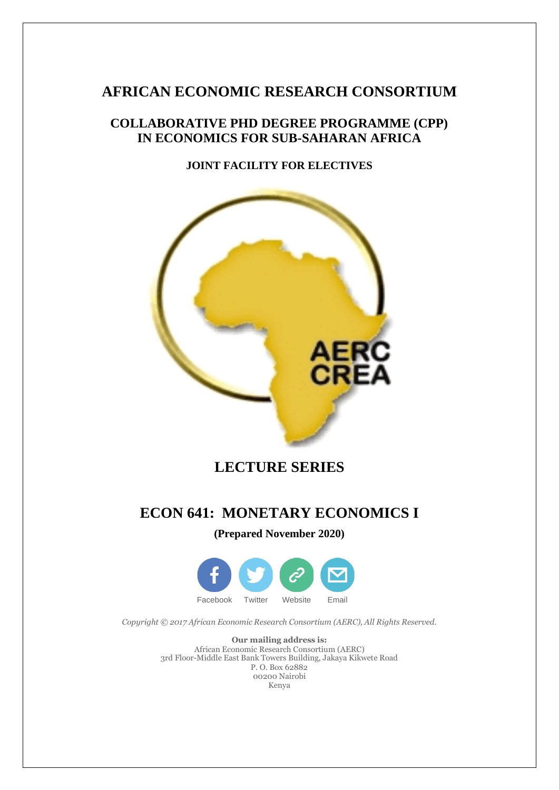## **AFRICAN ECONOMIC RESEARCH CONSORTIUM**

## **COLLABORATIVE PHD DEGREE PROGRAMME (CPP) IN ECONOMICS FOR SUB-SAHARAN AFRICA**

## **JOINT FACILITY FOR ELECTIVES**



## **LECTURE SERIES**

## **ECON 641: MONETARY ECONOMICS I**

**(Prepared November 2020)**



*Copyright © 2017 African Economic Research Consortium (AERC), All Rights Reserved.*

**Our mailing address is:** African Economic Research Consortium (AERC) 3rd Floor-Middle East Bank Towers Building, Jakaya Kikwete Road P. O. Box 62882 00200 Nairobi Kenya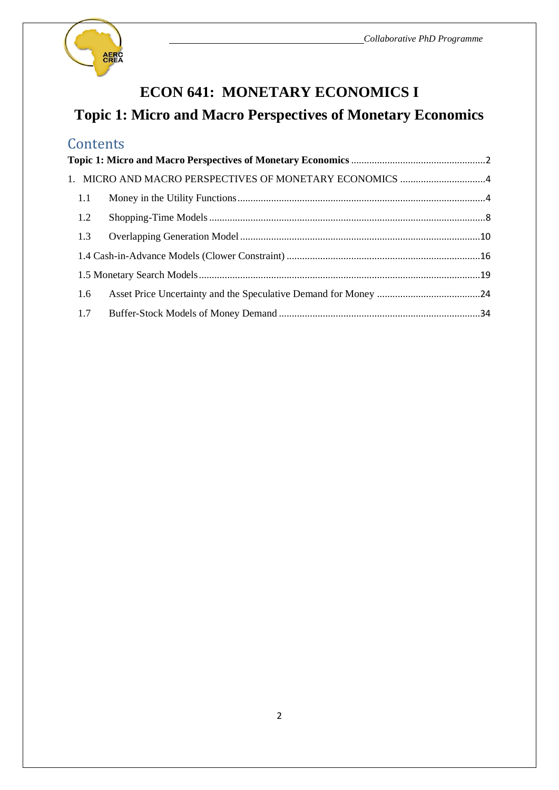

# **ECON 641: MONETARY ECONOMICS I**

# <span id="page-1-0"></span>**Topic 1: Micro and Macro Perspectives of Monetary Economics**

## **Contents**

| 1.1 |  |  |
|-----|--|--|
| 1.2 |  |  |
| 1.3 |  |  |
|     |  |  |
|     |  |  |
| 1.6 |  |  |
| 1.7 |  |  |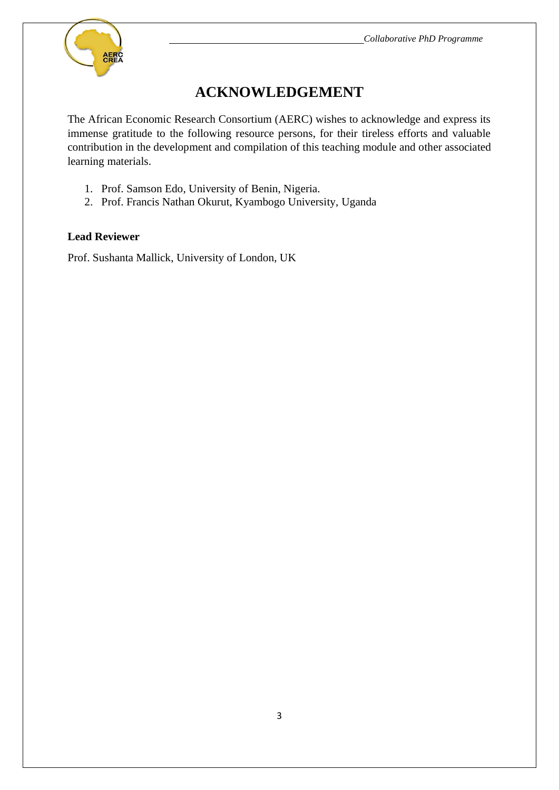

## **ACKNOWLEDGEMENT**

The African Economic Research Consortium (AERC) wishes to acknowledge and express its immense gratitude to the following resource persons, for their tireless efforts and valuable contribution in the development and compilation of this teaching module and other associated learning materials.

- 1. Prof. Samson Edo, University of Benin, Nigeria.
- 2. Prof. Francis Nathan Okurut, Kyambogo University, Uganda

## **Lead Reviewer**

Prof. Sushanta Mallick, University of London, UK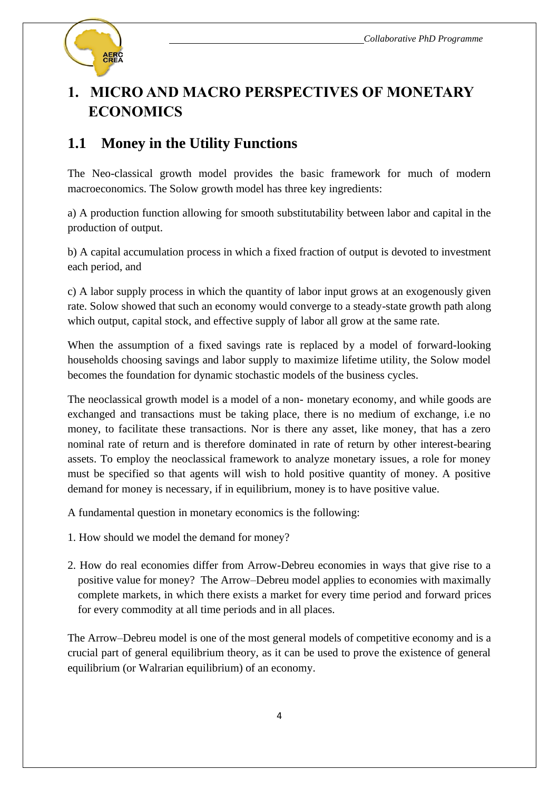

# <span id="page-3-0"></span>**1. MICRO AND MACRO PERSPECTIVES OF MONETARY ECONOMICS**

## <span id="page-3-1"></span>**1.1 Money in the Utility Functions**

The Neo-classical growth model provides the basic framework for much of modern macroeconomics. The Solow growth model has three key ingredients:

a) A production function allowing for smooth substitutability between labor and capital in the production of output.

b) A capital accumulation process in which a fixed fraction of output is devoted to investment each period, and

c) A labor supply process in which the quantity of labor input grows at an exogenously given rate. Solow showed that such an economy would converge to a steady-state growth path along which output, capital stock, and effective supply of labor all grow at the same rate.

When the assumption of a fixed savings rate is replaced by a model of forward-looking households choosing savings and labor supply to maximize lifetime utility, the Solow model becomes the foundation for dynamic stochastic models of the business cycles.

The neoclassical growth model is a model of a non- monetary economy, and while goods are exchanged and transactions must be taking place, there is no medium of exchange, i.e no money, to facilitate these transactions. Nor is there any asset, like money, that has a zero nominal rate of return and is therefore dominated in rate of return by other interest-bearing assets. To employ the neoclassical framework to analyze monetary issues, a role for money must be specified so that agents will wish to hold positive quantity of money. A positive demand for money is necessary, if in equilibrium, money is to have positive value.

A fundamental question in monetary economics is the following:

- 1. How should we model the demand for money?
- 2. How do real economies differ from Arrow-Debreu economies in ways that give rise to a positive value for money? The Arrow–Debreu model applies to economies with maximally complete markets, in which there exists a market for every time period and forward prices for every commodity at all time periods and in all places.

The Arrow–Debreu model is one of the most general models of competitive economy and is a crucial part of general equilibrium theory, as it can be used to prove the existence of general equilibrium (or Walrarian equilibrium) of an economy.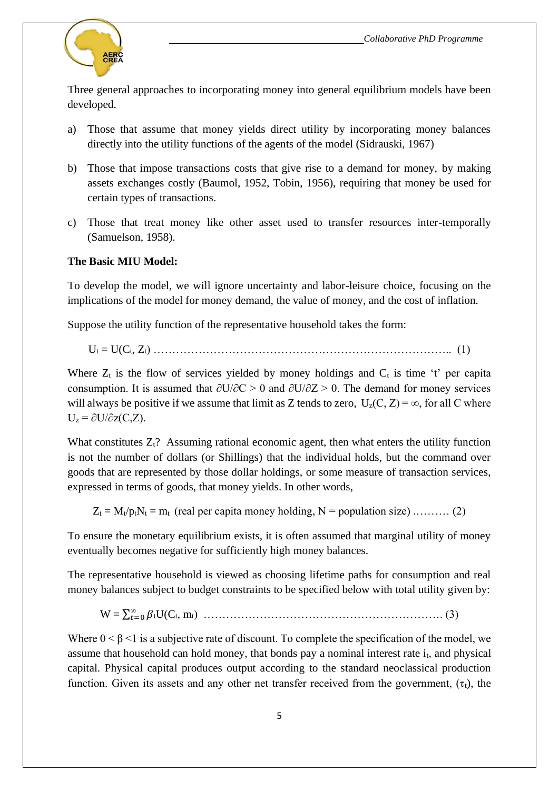

Three general approaches to incorporating money into general equilibrium models have been developed.

- a) Those that assume that money yields direct utility by incorporating money balances directly into the utility functions of the agents of the model (Sidrauski, 1967)
- b) Those that impose transactions costs that give rise to a demand for money, by making assets exchanges costly (Baumol, 1952, Tobin, 1956), requiring that money be used for certain types of transactions.
- c) Those that treat money like other asset used to transfer resources inter-temporally (Samuelson, 1958).

### **The Basic MIU Model:**

To develop the model, we will ignore uncertainty and labor-leisure choice, focusing on the implications of the model for money demand, the value of money, and the cost of inflation.

Suppose the utility function of the representative household takes the form:

U<sup>t</sup> = U(Ct, Zt) …………………………………………………………………….. (1)

Where  $Z_t$  is the flow of services yielded by money holdings and  $C_t$  is time 't' per capita consumption. It is assumed that  $\partial U/\partial C > 0$  and  $\partial U/\partial Z > 0$ . The demand for money services will always be positive if we assume that limit as Z tends to zero,  $U_z(C, Z) = \infty$ , for all C where  $U_z = \partial U / \partial Z (C, Z)$ .

What constitutes  $Z_t$ ? Assuming rational economic agent, then what enters the utility function is not the number of dollars (or Shillings) that the individual holds, but the command over goods that are represented by those dollar holdings, or some measure of transaction services, expressed in terms of goods, that money yields. In other words,

 $Z_t = M_t/p_tN_t = m_t$  (real per capita money holding, N = population size) .......... (2)

To ensure the monetary equilibrium exists, it is often assumed that marginal utility of money eventually becomes negative for sufficiently high money balances.

The representative household is viewed as choosing lifetime paths for consumption and real money balances subject to budget constraints to be specified below with total utility given by:

W = ∑ *∞* =0 <sup>t</sup>U(Ct, mt) ………………………………………………………. (3)

Where  $0 \le \beta \le 1$  is a subjective rate of discount. To complete the specification of the model, we assume that household can hold money, that bonds pay a nominal interest rate  $i_t$ , and physical capital. Physical capital produces output according to the standard neoclassical production function. Given its assets and any other net transfer received from the government,  $(\tau_t)$ , the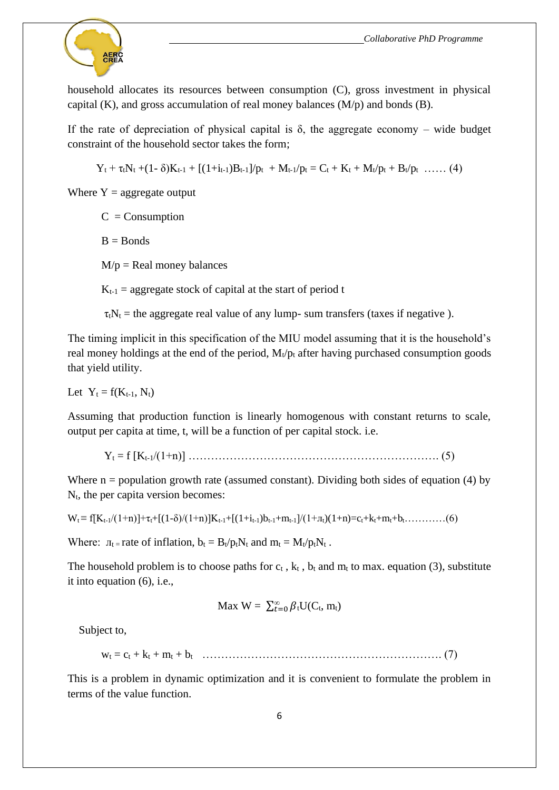

household allocates its resources between consumption (C), gross investment in physical capital  $(K)$ , and gross accumulation of real money balances  $(M/p)$  and bonds  $(B)$ .

If the rate of depreciation of physical capital is  $\delta$ , the aggregate economy – wide budget constraint of the household sector takes the form;

$$
Y_t + \tau_t N_t + (1\cdot \delta) K_{t\cdot 1} + [(1+i_{t\cdot 1})B_{t\cdot 1}]/p_t \ + M_{t\cdot 1}/p_t = C_t + K_t + M_t/p_t + B_t/p_t \ \ .... \ (4)
$$

Where  $Y =$  aggregate output

 $C =$ Consumption

 $B =$ Bonds

 $M/p = Real$  money balances

 $K_{t-1}$  = aggregate stock of capital at the start of period t

 $\tau_t$ N<sub>t</sub> = the aggregate real value of any lump- sum transfers (taxes if negative).

The timing implicit in this specification of the MIU model assuming that it is the household's real money holdings at the end of the period,  $M_t/p_t$  after having purchased consumption goods that yield utility.

Let  $Y_t = f(K_{t-1}, N_t)$ 

Assuming that production function is linearly homogenous with constant returns to scale, output per capita at time, t, will be a function of per capital stock. i.e.

Y<sup>t</sup> = f [Kt-1/(1+n)] …………………………………………………………. (5)

Where  $n =$  population growth rate (assumed constant). Dividing both sides of equation (4) by  $N_t$ , the per capita version becomes:

 $W_t \equiv f[K_{t-1}/(1+n)] + \tau_t + [(1-\delta)/(1+n)]K_{t-1} + [(1+i_{t-1})b_{t-1}+m_{t-1}]/(1+n_1)(1+n) = c_t + k_t + m_t + b_t$ …………(6)

Where:  $\pi_t$  = rate of inflation,  $b_t = B_t/p_tN_t$  and  $m_t = M_t/p_tN_t$ .

The household problem is to choose paths for  $c_t$ ,  $k_t$ ,  $b_t$  and  $m_t$  to max. equation (3), substitute it into equation (6), i.e.,

$$
Max~W = ~\textstyle\sum_{t=0}^{\infty} \beta_t U(C_t, m_t)
$$

Subject to,

w<sup>t</sup> = c<sup>t</sup> + k<sup>t</sup> + m<sup>t</sup> + bt ………………………………………………………. (7)

This is a problem in dynamic optimization and it is convenient to formulate the problem in terms of the value function.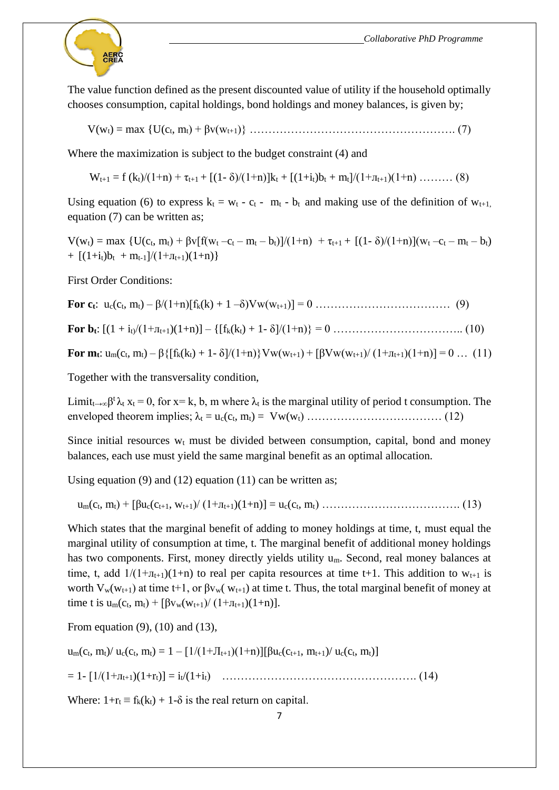

The value function defined as the present discounted value of utility if the household optimally chooses consumption, capital holdings, bond holdings and money balances, is given by;

V(wt) = max {U(ct, mt) + βv(wt+1)} ………………………………………………. (7)

Where the maximization is subject to the budget constraint (4) and

$$
W_{t+1} = f(k_t)/(1+n) + \tau_{t+1} + [(1-\delta)/(1+n)]k_t + [(1+i_t)b_t + m_t]/(1+\pi_{t+1})(1+n) \dots \dots \dots (8)
$$

Using equation (6) to express  $k_t = w_t - c_t - m_t - b_t$  and making use of the definition of  $w_{t+1}$ . equation (7) can be written as;

 $V(w_t) = \max \{ U(c_t, m_t) + \beta v [f(w_t - c_t - m_t - b_t)]/(1+n) + \tau_{t+1} + [(1-\delta)/(1+n)](w_t - c_t - m_t - b_t) \}$ +  $[(1+i_t)b_t + m_{t-1}]/(1+i_t+1)(1+n)$ 

First Order Conditions:

**For ct**: uc(ct, mt) – β/(1+n)[fk(k) + 1 –δ)Vw(wt+1)] = 0 ……………………………… (9) **For bt**: [(1 + it)/(1+лt+1)(1+n)] – {[fk(kt) + 1- δ]/(1+n)} = 0 …………………………….. (10)

**For m**<sub>t</sub>: 
$$
u_m(c_t, m_t) - \beta \{[f_k(k_t) + 1 - \delta]/(1+n)\}Vw(w_{t+1}) + [\beta Vw(w_{t+1})/(1+n_{t+1})(1+n)] = 0
$$
 ... (11)

Together with the transversality condition,

Limit<sub>t→∞</sub> $\beta^t \lambda_t$  x<sub>t</sub> = 0, for x= k, b, m where  $\lambda_t$  is the marginal utility of period t consumption. The enveloped theorem implies; λ<sup>t</sup> = uc(ct, mt) = Vw(wt) ……………………………… (12)

Since initial resources  $w_t$  must be divided between consumption, capital, bond and money balances, each use must yield the same marginal benefit as an optimal allocation.

Using equation (9) and (12) equation (11) can be written as;

um(ct, mt) + [βuc(ct+1, wt+1)/ (1+лt+1)(1+n)] = uc(ct, mt) ………………………………. (13)

Which states that the marginal benefit of adding to money holdings at time, t, must equal the marginal utility of consumption at time, t. The marginal benefit of additional money holdings has two components. First, money directly yields utility u<sub>m</sub>. Second, real money balances at time, t, add  $1/(1+\pi_{t+1})(1+n)$  to real per capita resources at time t+1. This addition to  $w_{t+1}$  is worth  $V_w(w_{t+1})$  at time t+1, or  $\beta v_w(w_{t+1})$  at time t. Thus, the total marginal benefit of money at time t is  $u_m(c_t, m_t) + [\beta v_w(w_{t+1})/(1+\pi_{t+1})(1+n)].$ 

From equation (9), (10) and (13),

 $u_m(c_t, m_t)/ u_c(c_t, m_t) = 1 - [1/(1+J_{t+1})(1+n)][\beta u_c(c_{t+1}, m_{t+1})/ u_c(c_t, m_t)]$ 

= 1- [1/(1+лt+1)(1+rt)] = it/(1+it) ……………………………………………. (14)

Where:  $1+r_t \equiv f_k(k_t) + 1-\delta$  is the real return on capital.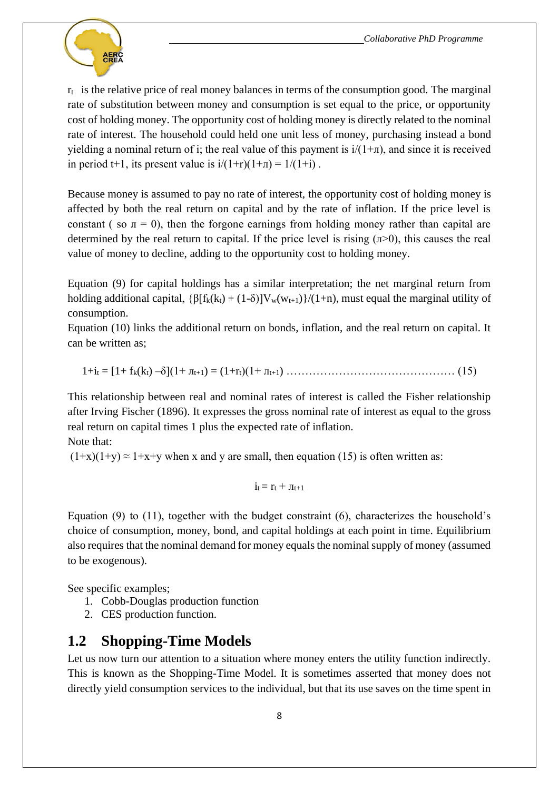

 $r_t$  is the relative price of real money balances in terms of the consumption good. The marginal rate of substitution between money and consumption is set equal to the price, or opportunity cost of holding money. The opportunity cost of holding money is directly related to the nominal rate of interest. The household could held one unit less of money, purchasing instead a bond yielding a nominal return of i; the real value of this payment is  $i/(1+\pi)$ , and since it is received in period t+1, its present value is  $i/(1+r)(1+\pi) = 1/(1+i)$ .

Because money is assumed to pay no rate of interest, the opportunity cost of holding money is affected by both the real return on capital and by the rate of inflation. If the price level is constant ( so  $\pi = 0$ ), then the forgone earnings from holding money rather than capital are determined by the real return to capital. If the price level is rising  $(π>0)$ , this causes the real value of money to decline, adding to the opportunity cost to holding money.

Equation (9) for capital holdings has a similar interpretation; the net marginal return from holding additional capital,  $\{\beta[f_k(k_t) + (1-\delta)]V_w(w_{t+1})\}/(1+n)$ , must equal the marginal utility of consumption.

Equation (10) links the additional return on bonds, inflation, and the real return on capital. It can be written as;

1+i<sup>t</sup> = [1+ fk(kt) –δ](1+ лt+1) = (1+rt)(1+ лt+1) ……………………………………… (15)

This relationship between real and nominal rates of interest is called the Fisher relationship after Irving Fischer (1896). It expresses the gross nominal rate of interest as equal to the gross real return on capital times 1 plus the expected rate of inflation. Note that:

 $(1+x)(1+y) \approx 1+x+y$  when x and y are small, then equation (15) is often written as:

$$
i_t\!=r_t+\pi_{t+1}
$$

Equation (9) to (11), together with the budget constraint (6), characterizes the household's choice of consumption, money, bond, and capital holdings at each point in time. Equilibrium also requires that the nominal demand for money equals the nominal supply of money (assumed to be exogenous).

See specific examples;

- 1. Cobb-Douglas production function
- 2. CES production function.

## <span id="page-7-0"></span>**1.2 Shopping-Time Models**

Let us now turn our attention to a situation where money enters the utility function indirectly. This is known as the Shopping-Time Model. It is sometimes asserted that money does not directly yield consumption services to the individual, but that its use saves on the time spent in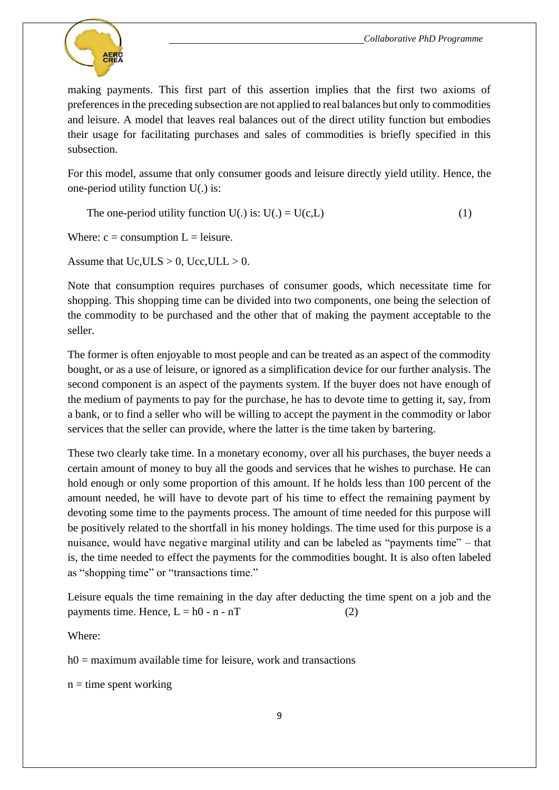

making payments. This first part of this assertion implies that the first two axioms of preferences in the preceding subsection are not applied to real balances but only to commodities and leisure. A model that leaves real balances out of the direct utility function but embodies their usage for facilitating purchases and sales of commodities is briefly specified in this subsection.

For this model, assume that only consumer goods and leisure directly yield utility. Hence, the one-period utility function U(.) is:

The one-period utility function  $U(.)$  is:  $U(.) = U(c,L)$  (1)

Where:  $c =$  consumption  $L =$  leisure.

Assume that  $Uc, ULS > 0$ ,  $Ucc, ULL > 0$ .

Note that consumption requires purchases of consumer goods, which necessitate time for shopping. This shopping time can be divided into two components, one being the selection of the commodity to be purchased and the other that of making the payment acceptable to the seller.

The former is often enjoyable to most people and can be treated as an aspect of the commodity bought, or as a use of leisure, or ignored as a simplification device for our further analysis. The second component is an aspect of the payments system. If the buyer does not have enough of the medium of payments to pay for the purchase, he has to devote time to getting it, say, from a bank, or to find a seller who will be willing to accept the payment in the commodity or labor services that the seller can provide, where the latter is the time taken by bartering.

These two clearly take time. In a monetary economy, over all his purchases, the buyer needs a certain amount of money to buy all the goods and services that he wishes to purchase. He can hold enough or only some proportion of this amount. If he holds less than 100 percent of the amount needed, he will have to devote part of his time to effect the remaining payment by devoting some time to the payments process. The amount of time needed for this purpose will be positively related to the shortfall in his money holdings. The time used for this purpose is a nuisance, would have negative marginal utility and can be labeled as "payments time" – that is, the time needed to effect the payments for the commodities bought. It is also often labeled as "shopping time" or "transactions time."

Leisure equals the time remaining in the day after deducting the time spent on a job and the payments time. Hence,  $L = h0 - n - nT$  (2)

Where:

 $h0 =$  maximum available time for leisure, work and transactions

 $n =$  time spent working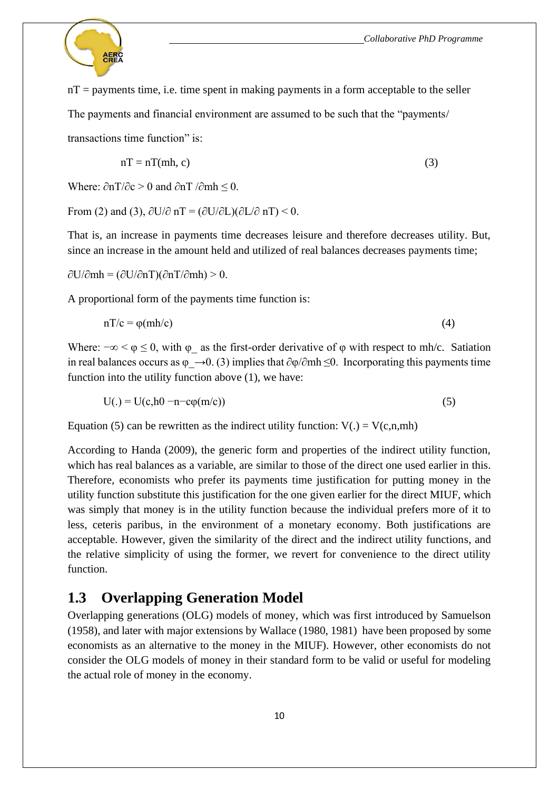*Collaborative PhD Programme*



 $nT =$  payments time, i.e. time spent in making payments in a form acceptable to the seller The payments and financial environment are assumed to be such that the "payments/ transactions time function" is:

$$
nT = nT(mh, c) \tag{3}
$$

Where:  $\partial nT/\partial c > 0$  and  $\partial nT/\partial mh < 0$ .

From (2) and (3),  $\partial U/\partial nT = (\partial U/\partial L)(\partial L/\partial nT) \le 0$ .

That is, an increase in payments time decreases leisure and therefore decreases utility. But, since an increase in the amount held and utilized of real balances decreases payments time;

∂U/∂mh = (∂U/∂nT)(∂nT/∂mh) > 0.

A proportional form of the payments time function is:

$$
nT/c = \varphi(mh/c) \tag{4}
$$

Where:  $-\infty < \varphi \le 0$ , with  $\varphi$  as the first-order derivative of  $\varphi$  with respect to mh/c. Satiation in real balances occurs as  $\varphi \to 0$ . (3) implies that  $\partial \varphi / \partial m h \le 0$ . Incorporating this payments time function into the utility function above (1), we have:

$$
U(.) = U(c, h0 - n - c\varphi(m/c))
$$
\n<sup>(5)</sup>

Equation (5) can be rewritten as the indirect utility function:  $V(.) = V(c,n,mh)$ 

According to Handa (2009), the generic form and properties of the indirect utility function, which has real balances as a variable, are similar to those of the direct one used earlier in this. Therefore, economists who prefer its payments time justification for putting money in the utility function substitute this justification for the one given earlier for the direct MIUF, which was simply that money is in the utility function because the individual prefers more of it to less, ceteris paribus, in the environment of a monetary economy. Both justifications are acceptable. However, given the similarity of the direct and the indirect utility functions, and the relative simplicity of using the former, we revert for convenience to the direct utility function.

## <span id="page-9-0"></span>**1.3 Overlapping Generation Model**

Overlapping generations (OLG) models of money, which was first introduced by Samuelson (1958), and later with major extensions by Wallace (1980, 1981) have been proposed by some economists as an alternative to the money in the MIUF). However, other economists do not consider the OLG models of money in their standard form to be valid or useful for modeling the actual role of money in the economy.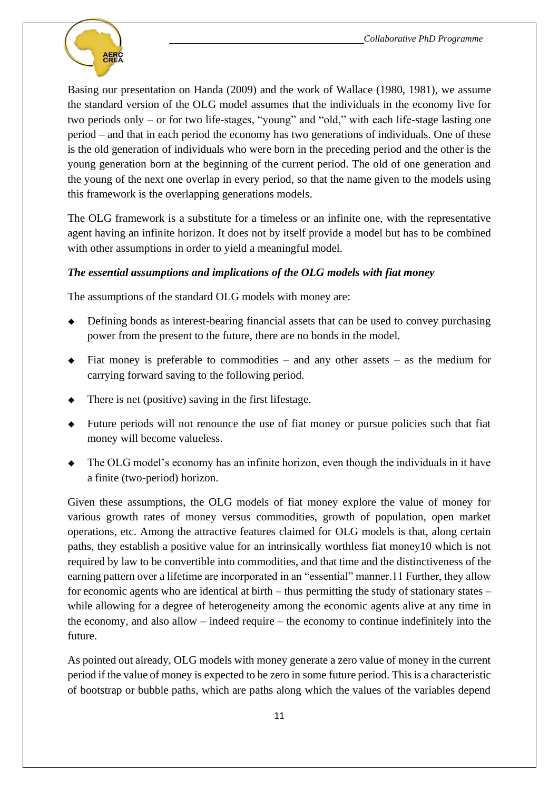

Basing our presentation on Handa (2009) and the work of Wallace (1980, 1981), we assume the standard version of the OLG model assumes that the individuals in the economy live for two periods only – or for two life-stages, "young" and "old," with each life-stage lasting one period – and that in each period the economy has two generations of individuals. One of these is the old generation of individuals who were born in the preceding period and the other is the young generation born at the beginning of the current period. The old of one generation and the young of the next one overlap in every period, so that the name given to the models using this framework is the overlapping generations models.

The OLG framework is a substitute for a timeless or an infinite one, with the representative agent having an infinite horizon. It does not by itself provide a model but has to be combined with other assumptions in order to yield a meaningful model.

## *The essential assumptions and implications of the OLG models with fiat money*

The assumptions of the standard OLG models with money are:

- Defining bonds as interest-bearing financial assets that can be used to convey purchasing power from the present to the future, there are no bonds in the model.
- $\bullet$  Fiat money is preferable to commodities and any other assets as the medium for carrying forward saving to the following period.
- There is net (positive) saving in the first lifestage.
- Future periods will not renounce the use of fiat money or pursue policies such that fiat money will become valueless.
- The OLG model's economy has an infinite horizon, even though the individuals in it have a finite (two-period) horizon.

Given these assumptions, the OLG models of fiat money explore the value of money for various growth rates of money versus commodities, growth of population, open market operations, etc. Among the attractive features claimed for OLG models is that, along certain paths, they establish a positive value for an intrinsically worthless fiat money10 which is not required by law to be convertible into commodities, and that time and the distinctiveness of the earning pattern over a lifetime are incorporated in an "essential" manner.11 Further, they allow for economic agents who are identical at birth – thus permitting the study of stationary states – while allowing for a degree of heterogeneity among the economic agents alive at any time in the economy, and also allow – indeed require – the economy to continue indefinitely into the future.

As pointed out already, OLG models with money generate a zero value of money in the current period if the value of money is expected to be zero in some future period. This is a characteristic of bootstrap or bubble paths, which are paths along which the values of the variables depend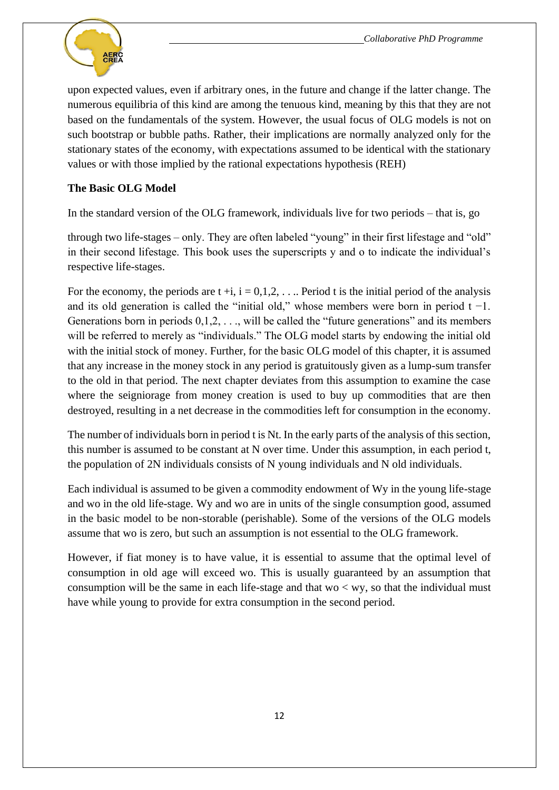

upon expected values, even if arbitrary ones, in the future and change if the latter change. The numerous equilibria of this kind are among the tenuous kind, meaning by this that they are not based on the fundamentals of the system. However, the usual focus of OLG models is not on such bootstrap or bubble paths. Rather, their implications are normally analyzed only for the stationary states of the economy, with expectations assumed to be identical with the stationary values or with those implied by the rational expectations hypothesis (REH)

## **The Basic OLG Model**

In the standard version of the OLG framework, individuals live for two periods – that is, go

through two life-stages – only. They are often labeled "young" in their first lifestage and "old" in their second lifestage. This book uses the superscripts y and o to indicate the individual's respective life-stages.

For the economy, the periods are  $t + i$ ,  $i = 0,1,2, \ldots$  Period t is the initial period of the analysis and its old generation is called the "initial old," whose members were born in period t −1. Generations born in periods  $0,1,2, \ldots$ , will be called the "future generations" and its members will be referred to merely as "individuals." The OLG model starts by endowing the initial old with the initial stock of money. Further, for the basic OLG model of this chapter, it is assumed that any increase in the money stock in any period is gratuitously given as a lump-sum transfer to the old in that period. The next chapter deviates from this assumption to examine the case where the seigniorage from money creation is used to buy up commodities that are then destroyed, resulting in a net decrease in the commodities left for consumption in the economy.

The number of individuals born in period t is Nt. In the early parts of the analysis of this section, this number is assumed to be constant at N over time. Under this assumption, in each period t, the population of 2N individuals consists of N young individuals and N old individuals.

Each individual is assumed to be given a commodity endowment of Wy in the young life-stage and wo in the old life-stage. Wy and wo are in units of the single consumption good, assumed in the basic model to be non-storable (perishable). Some of the versions of the OLG models assume that wo is zero, but such an assumption is not essential to the OLG framework.

However, if fiat money is to have value, it is essential to assume that the optimal level of consumption in old age will exceed wo. This is usually guaranteed by an assumption that consumption will be the same in each life-stage and that  $wo < wy$ , so that the individual must have while young to provide for extra consumption in the second period.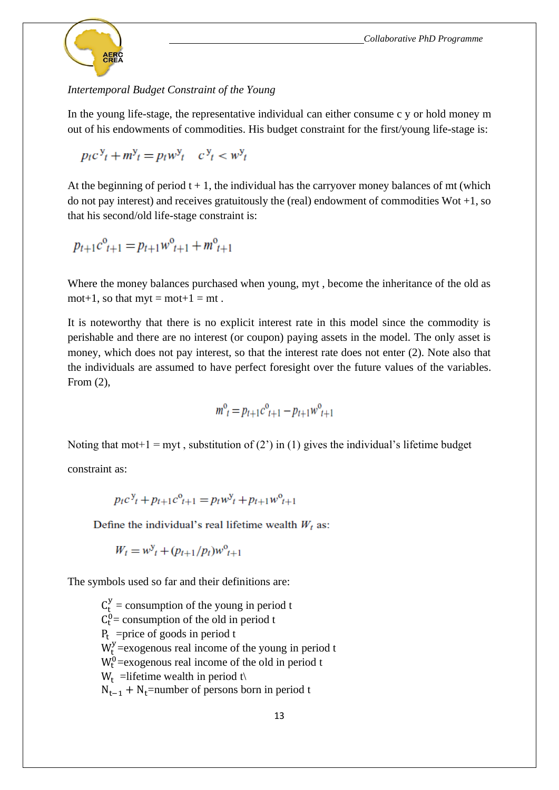

### *Intertemporal Budget Constraint of the Young*

In the young life-stage, the representative individual can either consume c y or hold money m out of his endowments of commodities. His budget constraint for the first/young life-stage is:

$$
p_t c^y_t + m^y_t = p_t w^y_t \quad c^y_t < w^y_t
$$

At the beginning of period  $t + 1$ , the individual has the carryover money balances of mt (which do not pay interest) and receives gratuitously the (real) endowment of commodities  $Wot +1$ , so that his second/old life-stage constraint is:

$$
p_{t+1}c_{t+1}^0 = p_{t+1}w_{t+1}^0 + m_{t+1}^0
$$

Where the money balances purchased when young, myt , become the inheritance of the old as mot+1, so that myt = mot+1 = mt.

It is noteworthy that there is no explicit interest rate in this model since the commodity is perishable and there are no interest (or coupon) paying assets in the model. The only asset is money, which does not pay interest, so that the interest rate does not enter (2). Note also that the individuals are assumed to have perfect foresight over the future values of the variables. From (2),

$$
m^{0}_{t} = p_{t+1}c^{0}_{t+1} - p_{t+1}w^{0}_{t+1}
$$

Noting that mot + 1 = myt, substitution of (2') in (1) gives the individual's lifetime budget

constraint as:

$$
p_t c^{y} t + p_{t+1} c^{0} t + 1 = p_t w^{y} t + p_{t+1} w^{0} t + 1
$$

Define the individual's real lifetime wealth  $W_t$  as:

$$
W_t = w^{\mathbf{y}}_t + (p_{t+1}/p_t)w^{\mathbf{0}}_{t+1}
$$

The symbols used so far and their definitions are:

 $C_t^y$  = consumption of the young in period t  $C_t^0$  = consumption of the old in period t  $P_t$  =price of goods in period t  $W_t^y$ =exogenous real income of the young in period t  $W_t^0$ =exogenous real income of the old in period t  $W_t$  =lifetime wealth in period t  $N_{t-1}$  + N<sub>t</sub>=number of persons born in period t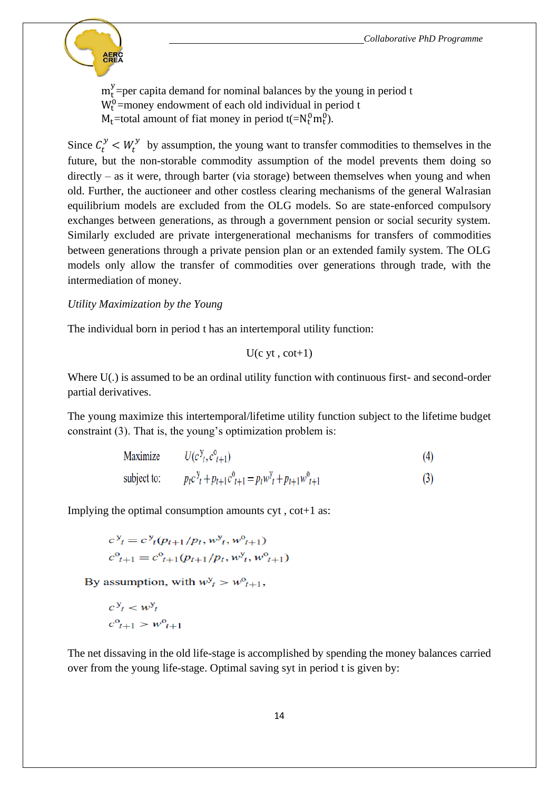

 $m_t^y$ =per capita demand for nominal balances by the young in period t  $W_t^0$ =money endowment of each old individual in period t  $M_t$ =total amount of fiat money in period t(= $N_t^0m_t^0$ ).

Since  $C_t^y < W_t^y$  by assumption, the young want to transfer commodities to themselves in the future, but the non-storable commodity assumption of the model prevents them doing so directly – as it were, through barter (via storage) between themselves when young and when old. Further, the auctioneer and other costless clearing mechanisms of the general Walrasian equilibrium models are excluded from the OLG models. So are state-enforced compulsory exchanges between generations, as through a government pension or social security system. Similarly excluded are private intergenerational mechanisms for transfers of commodities between generations through a private pension plan or an extended family system. The OLG models only allow the transfer of commodities over generations through trade, with the intermediation of money.

#### *Utility Maximization by the Young*

The individual born in period t has an intertemporal utility function:

 $U(c \, yt \, , \, cot+1)$ 

Where U(.) is assumed to be an ordinal utility function with continuous first- and second-order partial derivatives.

The young maximize this intertemporal/lifetime utility function subject to the lifetime budget constraint (3). That is, the young's optimization problem is:

$$
\text{Maximize} \qquad U(c^{\mathbf{y}}_t, c^{\mathbf{0}}_{t+1}) \tag{4}
$$

 $p_t C_{t+1}^{y} + p_{t+1} C_{t+1}^{0} = p_t W_{t+1}^{y} + p_{t+1} W_{t+1}^{0}$ subject to:  $(3)$ 

Implying the optimal consumption amounts cyt, cot+1 as:

$$
c^{y} = c^{y} (p_{t+1}/p_t, w^{y}{}_{t}, w^{o}{}_{t+1})
$$
  

$$
c^{o}{}_{t+1} = c^{o}{}_{t+1}(p_{t+1}/p_t, w^{y}{}_{t}, w^{o}{}_{t+1})
$$

By assumption, with  $w_{t}^{y} > w_{t+1}^{0}$ ,

 $\overline{1}$ 

$$
c^{\mathbf{y}}_t < w^{\mathbf{y}}_t
$$
\n
$$
c^{\mathbf{0}}_{t+1} > w^{\mathbf{0}}_{t+1}
$$

The net dissaving in the old life-stage is accomplished by spending the money balances carried over from the young life-stage. Optimal saving syt in period t is given by: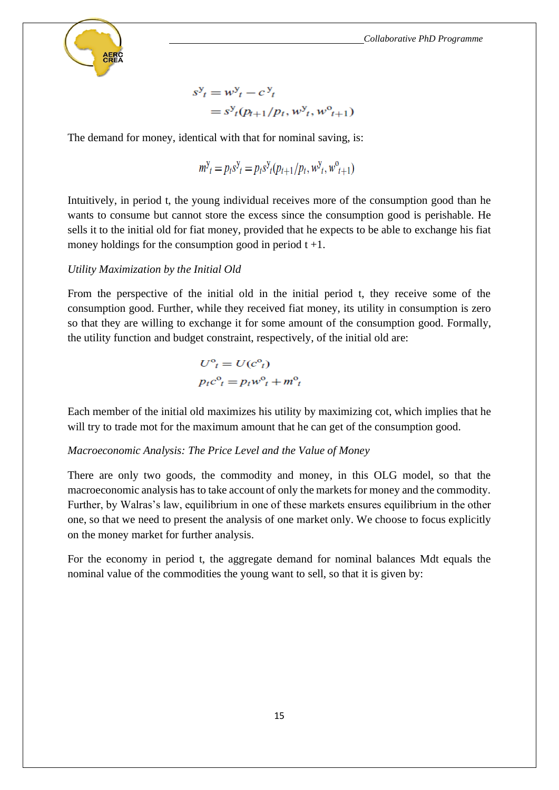

$$
s^{y}_{t} = w^{y}_{t} - c^{y}_{t}
$$
  
=  $s^{y}_{t}(p_{t+1}/p_{t}, w^{y}_{t}, w^{o}_{t+1})$ 

The demand for money, identical with that for nominal saving, is:

$$
m^{y}{}_{t} = p_{t} s^{y}{}_{t} = p_{t} s^{y}{}_{t} (p_{t+1}/p_{t}, w^{y}{}_{t}, w^{o}{}_{t+1})
$$

Intuitively, in period t, the young individual receives more of the consumption good than he wants to consume but cannot store the excess since the consumption good is perishable. He sells it to the initial old for fiat money, provided that he expects to be able to exchange his fiat money holdings for the consumption good in period  $t + 1$ .

### *Utility Maximization by the Initial Old*

From the perspective of the initial old in the initial period t, they receive some of the consumption good. Further, while they received fiat money, its utility in consumption is zero so that they are willing to exchange it for some amount of the consumption good. Formally, the utility function and budget constraint, respectively, of the initial old are:

$$
U^{\circ}_{t} = U(c^{\circ}_{t})
$$

$$
p_{t}c^{\circ}_{t} = p_{t}w^{\circ}_{t} + m^{\circ}_{t}
$$

Each member of the initial old maximizes his utility by maximizing cot, which implies that he will try to trade mot for the maximum amount that he can get of the consumption good.

#### *Macroeconomic Analysis: The Price Level and the Value of Money*

There are only two goods, the commodity and money, in this OLG model, so that the macroeconomic analysis has to take account of only the markets for money and the commodity. Further, by Walras's law, equilibrium in one of these markets ensures equilibrium in the other one, so that we need to present the analysis of one market only. We choose to focus explicitly on the money market for further analysis.

For the economy in period t, the aggregate demand for nominal balances Mdt equals the nominal value of the commodities the young want to sell, so that it is given by: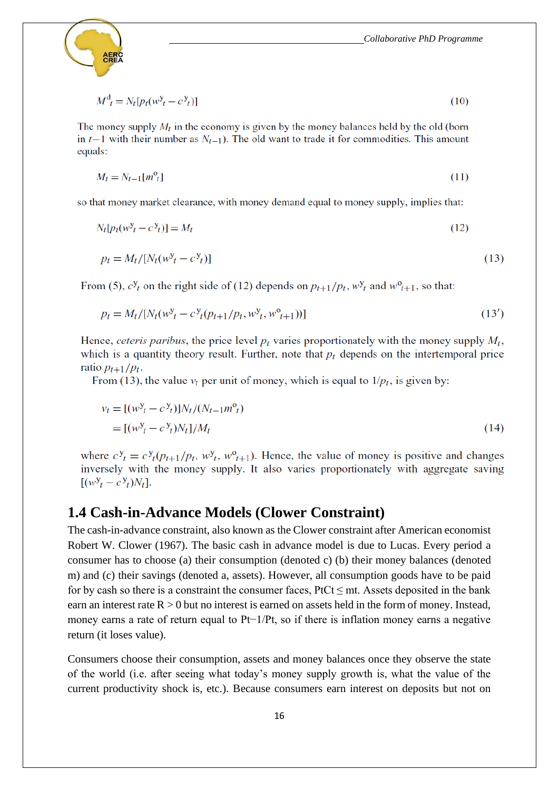

$$
M^d_t = N_t[p_t(w^y_t - c^y_t)]
$$
\n
$$
(10)
$$

The money supply  $M_t$  in the economy is given by the money balances held by the old (born in  $t-1$  with their number as  $N_{t-1}$ ). The old want to trade it for commodities. This amount equals:

$$
M_t = N_{t-1}[m_t^0]
$$
\n<sup>(11)</sup>

so that money market clearance, with money demand equal to money supply, implies that:

$$
N_t[p_t(w^y_t - c^y_t)] = M_t
$$
\n
$$
(12)
$$

$$
p_t = M_t/[N_t(w^y_t - c^y_t)]
$$
\n
$$
(13)
$$

From (5),  $c^y_t$  on the right side of (12) depends on  $p_{t+1}/p_t$ ,  $w^y_t$  and  $w^0_{t+1}$ , so that:

$$
p_t = M_t/[N_t(w^y_t - c^y_t(p_{t+1}/p_t, w^y_t, w^o_{t+1}))]
$$
\n(13')

Hence, *ceteris paribus*, the price level  $p_t$  varies proportionately with the money supply  $M_t$ , which is a quantity theory result. Further, note that  $p_t$  depends on the intertemporal price ratio  $p_{t+1}/p_t$ .

From (13), the value  $v_t$  per unit of money, which is equal to  $1/p_t$ , is given by:

$$
v_t = [(w^y_t - c^y_t)]N_t/(N_{t-1}m^o_t)
$$
  
= [(w^y\_t - c^y\_t)N\_t]/M\_t (14)

where  $c^{y} = c^{y}t(p_{t+1}/p_t, w^{y}$ ,  $w^{0}$ <sub>t+1</sub>). Hence, the value of money is positive and changes inversely with the money supply. It also varies proportionately with aggregate saving  $[(w^y_t - c^y_t)N_t].$ 

## <span id="page-15-0"></span>**1.4 Cash-in-Advance Models (Clower Constraint)**

The cash-in-advance constraint, also known as the Clower constraint after American economist Robert W. Clower (1967). The basic cash in advance model is due to Lucas. Every period a consumer has to choose (a) their consumption (denoted c) (b) their money balances (denoted m) and (c) their savings (denoted a, assets). However, all consumption goods have to be paid for by cash so there is a constraint the consumer faces,  $P_{\text{t}}C_{\text{t}}$  and  $\epsilon$  assets deposited in the bank earn an interest rate  $R > 0$  but no interest is earned on assets held in the form of money. Instead, money earns a rate of return equal to Pt−1/Pt, so if there is inflation money earns a negative return (it loses value).

Consumers choose their consumption, assets and money balances once they observe the state of the world (i.e. after seeing what today's money supply growth is, what the value of the current productivity shock is, etc.). Because consumers earn interest on deposits but not on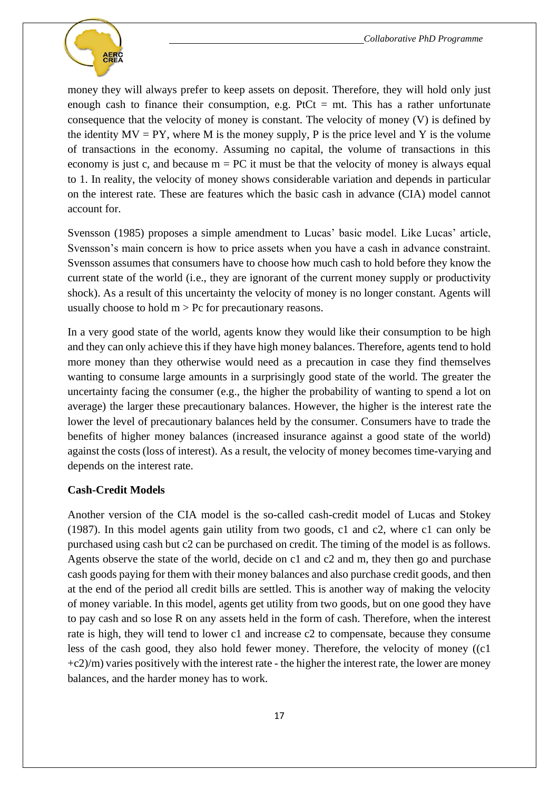

money they will always prefer to keep assets on deposit. Therefore, they will hold only just enough cash to finance their consumption, e.g.  $PtCt = mt$ . This has a rather unfortunate consequence that the velocity of money is constant. The velocity of money (V) is defined by the identity  $MV = PY$ , where M is the money supply, P is the price level and Y is the volume of transactions in the economy. Assuming no capital, the volume of transactions in this economy is just c, and because  $m = PC$  it must be that the velocity of money is always equal to 1. In reality, the velocity of money shows considerable variation and depends in particular on the interest rate. These are features which the basic cash in advance (CIA) model cannot account for.

Svensson (1985) proposes a simple amendment to Lucas' basic model. Like Lucas' article, Svensson's main concern is how to price assets when you have a cash in advance constraint. Svensson assumes that consumers have to choose how much cash to hold before they know the current state of the world (i.e., they are ignorant of the current money supply or productivity shock). As a result of this uncertainty the velocity of money is no longer constant. Agents will usually choose to hold  $m > Pc$  for precautionary reasons.

In a very good state of the world, agents know they would like their consumption to be high and they can only achieve this if they have high money balances. Therefore, agents tend to hold more money than they otherwise would need as a precaution in case they find themselves wanting to consume large amounts in a surprisingly good state of the world. The greater the uncertainty facing the consumer (e.g., the higher the probability of wanting to spend a lot on average) the larger these precautionary balances. However, the higher is the interest rate the lower the level of precautionary balances held by the consumer. Consumers have to trade the benefits of higher money balances (increased insurance against a good state of the world) against the costs (loss of interest). As a result, the velocity of money becomes time-varying and depends on the interest rate.

#### **Cash-Credit Models**

Another version of the CIA model is the so-called cash-credit model of Lucas and Stokey (1987). In this model agents gain utility from two goods, c1 and c2, where c1 can only be purchased using cash but c2 can be purchased on credit. The timing of the model is as follows. Agents observe the state of the world, decide on c1 and c2 and m, they then go and purchase cash goods paying for them with their money balances and also purchase credit goods, and then at the end of the period all credit bills are settled. This is another way of making the velocity of money variable. In this model, agents get utility from two goods, but on one good they have to pay cash and so lose R on any assets held in the form of cash. Therefore, when the interest rate is high, they will tend to lower c1 and increase c2 to compensate, because they consume less of the cash good, they also hold fewer money. Therefore, the velocity of money ((c1  $+c2$ /m) varies positively with the interest rate - the higher the interest rate, the lower are money balances, and the harder money has to work.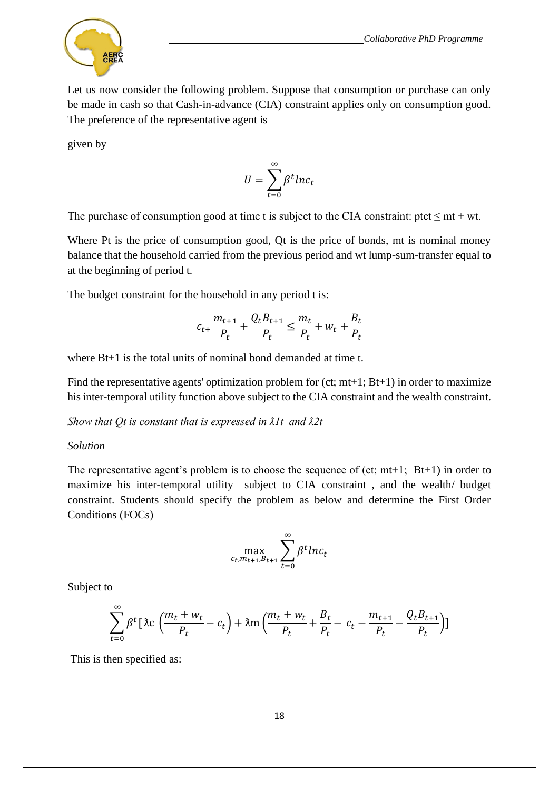*Collaborative PhD Programme*



Let us now consider the following problem. Suppose that consumption or purchase can only be made in cash so that Cash-in-advance (CIA) constraint applies only on consumption good. The preference of the representative agent is

given by

$$
U = \sum_{t=0}^{\infty} \beta^t ln c_t
$$

The purchase of consumption good at time t is subject to the CIA constraint: ptct  $\leq mt + wt$ .

Where Pt is the price of consumption good, Qt is the price of bonds, mt is nominal money balance that the household carried from the previous period and wt lump-sum-transfer equal to at the beginning of period t.

The budget constraint for the household in any period t is:

$$
c_{t+} \frac{m_{t+1}}{P_t} + \frac{Q_t B_{t+1}}{P_t} \le \frac{m_t}{P_t} + w_t + \frac{B_t}{P_t}
$$

where Bt+1 is the total units of nominal bond demanded at time t.

Find the representative agents' optimization problem for (ct; mt+1; Bt+1) in order to maximize his inter-temporal utility function above subject to the CIA constraint and the wealth constraint.

*Show that Ot is constant that is expressed in*  $\lambda$ *1t and*  $\lambda$ *2t* 

#### *Solution*

The representative agent's problem is to choose the sequence of (ct;  $mt+1$ ;  $Bt+1$ ) in order to maximize his inter-temporal utility subject to CIA constraint , and the wealth/ budget constraint. Students should specify the problem as below and determine the First Order Conditions (FOCs)

$$
\max_{c_t, m_{t+1}, B_{t+1}} \sum_{t=0}^{\infty} \beta^t \ln c_t
$$

Subject to

$$
\sum_{t=0}^{\infty} \beta^{t} [\lambda c \left( \frac{m_{t} + w_{t}}{P_{t}} - c_{t} \right) + \lambda m \left( \frac{m_{t} + w_{t}}{P_{t}} + \frac{B_{t}}{P_{t}} - c_{t} - \frac{m_{t+1}}{P_{t}} - \frac{Q_{t} B_{t+1}}{P_{t}} \right)]
$$

This is then specified as: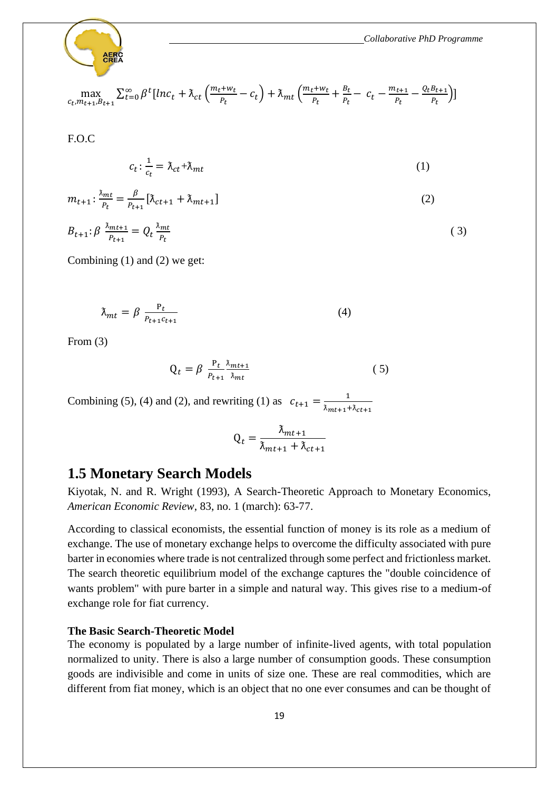

$$
\max_{c_t, m_{t+1}, B_{t+1}} \sum_{t=0}^{\infty} \beta^t [ln c_t + \lambda_{ct} \left( \frac{m_t + w_t}{p_t} - c_t \right) + \lambda_{mt} \left( \frac{m_t + w_t}{p_t} + \frac{B_t}{p_t} - c_t - \frac{m_{t+1}}{p_t} - \frac{Q_t B_{t+1}}{p_t} \right)]
$$

F.O.C

$$
c_t: \frac{1}{c_t} = \lambda_{ct} + \lambda_{mt} \tag{1}
$$

$$
m_{t+1} : \frac{\lambda_{mt}}{P_t} = \frac{\beta}{P_{t+1}} [\lambda_{ct+1} + \lambda_{mt+1}]
$$
 (2)

$$
B_{t+1} : \beta \frac{\lambda_{mt+1}}{P_{t+1}} = Q_t \frac{\lambda_{mt}}{P_t} \tag{3}
$$

Combining (1) and (2) we get:

$$
\lambda_{mt} = \beta \frac{P_t}{P_{t+1}c_{t+1}} \tag{4}
$$

From (3)

$$
Q_t = \beta \frac{P_t}{P_{t+1}} \frac{\lambda_{mt+1}}{\lambda_{mt}} \tag{5}
$$

Combining (5), (4) and (2), and rewriting (1) as  $c_{t+1} = \frac{1}{\lambda_{\text{initial}}}$  $\lambda_{mt+1}+\lambda_{ct+1}$ 

$$
Q_t = \frac{\lambda_{mt+1}}{\lambda_{mt+1} + \lambda_{ct+1}}
$$

## <span id="page-18-0"></span>**1.5 Monetary Search Models**

Kiyotak, N. and R. Wright (1993), A Search-Theoretic Approach to Monetary Economics, *American Economic Review*, 83, no. 1 (march): 63-77.

According to classical economists, the essential function of money is its role as a medium of exchange. The use of monetary exchange helps to overcome the difficulty associated with pure barter in economies where trade is not centralized through some perfect and frictionless market. The search theoretic equilibrium model of the exchange captures the "double coincidence of wants problem" with pure barter in a simple and natural way. This gives rise to a medium-of exchange role for fiat currency.

### **The Basic Search-Theoretic Model**

The economy is populated by a large number of infinite-lived agents, with total population normalized to unity. There is also a large number of consumption goods. These consumption goods are indivisible and come in units of size one. These are real commodities, which are different from fiat money, which is an object that no one ever consumes and can be thought of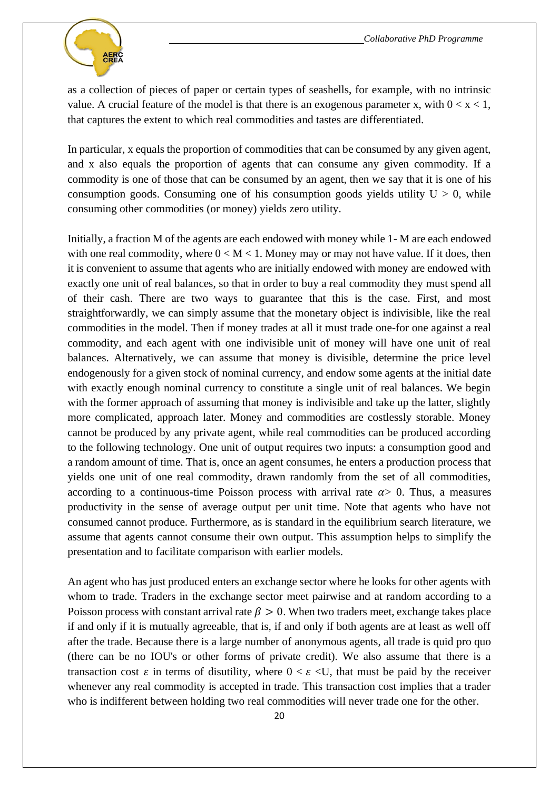

as a collection of pieces of paper or certain types of seashells, for example, with no intrinsic value. A crucial feature of the model is that there is an exogenous parameter x, with  $0 < x < 1$ , that captures the extent to which real commodities and tastes are differentiated.

In particular, x equals the proportion of commodities that can be consumed by any given agent, and x also equals the proportion of agents that can consume any given commodity. If a commodity is one of those that can be consumed by an agent, then we say that it is one of his consumption goods. Consuming one of his consumption goods yields utility  $U > 0$ , while consuming other commodities (or money) yields zero utility.

Initially, a fraction M of the agents are each endowed with money while 1- M are each endowed with one real commodity, where  $0 < M < 1$ . Money may or may not have value. If it does, then it is convenient to assume that agents who are initially endowed with money are endowed with exactly one unit of real balances, so that in order to buy a real commodity they must spend all of their cash. There are two ways to guarantee that this is the case. First, and most straightforwardly, we can simply assume that the monetary object is indivisible, like the real commodities in the model. Then if money trades at all it must trade one-for one against a real commodity, and each agent with one indivisible unit of money will have one unit of real balances. Alternatively, we can assume that money is divisible, determine the price level endogenously for a given stock of nominal currency, and endow some agents at the initial date with exactly enough nominal currency to constitute a single unit of real balances. We begin with the former approach of assuming that money is indivisible and take up the latter, slightly more complicated, approach later. Money and commodities are costlessly storable. Money cannot be produced by any private agent, while real commodities can be produced according to the following technology. One unit of output requires two inputs: a consumption good and a random amount of time. That is, once an agent consumes, he enters a production process that yields one unit of one real commodity, drawn randomly from the set of all commodities, according to a continuous-time Poisson process with arrival rate  $\alpha$  > 0. Thus, a measures productivity in the sense of average output per unit time. Note that agents who have not consumed cannot produce. Furthermore, as is standard in the equilibrium search literature, we assume that agents cannot consume their own output. This assumption helps to simplify the presentation and to facilitate comparison with earlier models.

An agent who has just produced enters an exchange sector where he looks for other agents with whom to trade. Traders in the exchange sector meet pairwise and at random according to a Poisson process with constant arrival rate  $\beta > 0$ . When two traders meet, exchange takes place if and only if it is mutually agreeable, that is, if and only if both agents are at least as well off after the trade. Because there is a large number of anonymous agents, all trade is quid pro quo (there can be no IOU's or other forms of private credit). We also assume that there is a transaction cost  $\varepsilon$  in terms of disutility, where  $0 < \varepsilon < U$ , that must be paid by the receiver whenever any real commodity is accepted in trade. This transaction cost implies that a trader who is indifferent between holding two real commodities will never trade one for the other.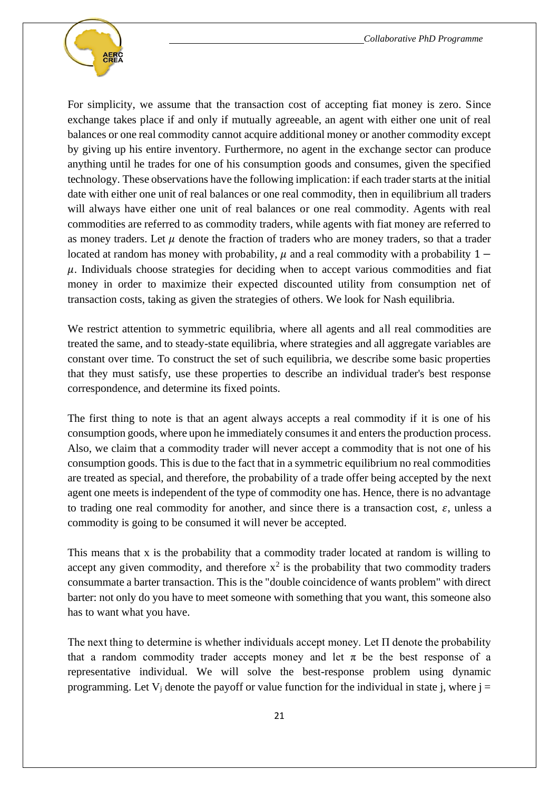

For simplicity, we assume that the transaction cost of accepting fiat money is zero. Since exchange takes place if and only if mutually agreeable, an agent with either one unit of real balances or one real commodity cannot acquire additional money or another commodity except by giving up his entire inventory. Furthermore, no agent in the exchange sector can produce anything until he trades for one of his consumption goods and consumes, given the specified technology. These observations have the following implication: if each trader starts at the initial date with either one unit of real balances or one real commodity, then in equilibrium all traders will always have either one unit of real balances or one real commodity. Agents with real commodities are referred to as commodity traders, while agents with fiat money are referred to as money traders. Let  $\mu$  denote the fraction of traders who are money traders, so that a trader located at random has money with probability,  $\mu$  and a real commodity with a probability 1 −  $\mu$ . Individuals choose strategies for deciding when to accept various commodities and fiat money in order to maximize their expected discounted utility from consumption net of transaction costs, taking as given the strategies of others. We look for Nash equilibria.

We restrict attention to symmetric equilibria, where all agents and all real commodities are treated the same, and to steady-state equilibria, where strategies and all aggregate variables are constant over time. To construct the set of such equilibria, we describe some basic properties that they must satisfy, use these properties to describe an individual trader's best response correspondence, and determine its fixed points.

The first thing to note is that an agent always accepts a real commodity if it is one of his consumption goods, where upon he immediately consumes it and enters the production process. Also, we claim that a commodity trader will never accept a commodity that is not one of his consumption goods. This is due to the fact that in a symmetric equilibrium no real commodities are treated as special, and therefore, the probability of a trade offer being accepted by the next agent one meets is independent of the type of commodity one has. Hence, there is no advantage to trading one real commodity for another, and since there is a transaction cost,  $\varepsilon$ , unless a commodity is going to be consumed it will never be accepted.

This means that x is the probability that a commodity trader located at random is willing to accept any given commodity, and therefore  $x^2$  is the probability that two commodity traders consummate a barter transaction. This is the "double coincidence of wants problem" with direct barter: not only do you have to meet someone with something that you want, this someone also has to want what you have.

The next thing to determine is whether individuals accept money. Let  $\Pi$  denote the probability that a random commodity trader accepts money and let  $\pi$  be the best response of a representative individual. We will solve the best-response problem using dynamic programming. Let  $V_i$  denote the payoff or value function for the individual in state j, where  $j =$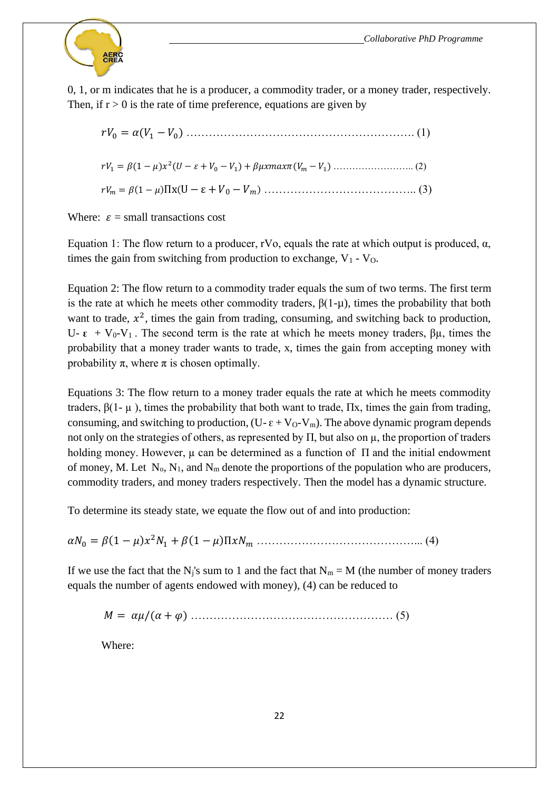

0, 1, or m indicates that he is a producer, a commodity trader, or a money trader, respectively. Then, if  $r > 0$  is the rate of time preference, equations are given by

$$
rV_0 = \alpha (V_1 - V_0) \dots (1)
$$
  
\n
$$
rV_1 = \beta (1 - \mu)x^2 (U - \varepsilon + V_0 - V_1) + \beta \mu x \max(\nu_m - V_1) \dots (2)
$$
  
\n
$$
rV_m = \beta (1 - \mu) \prod x (U - \varepsilon + V_0 - V_m) \dots (3)
$$

Where:  $\varepsilon$  = small transactions cost

Equation 1: The flow return to a producer, rVo, equals the rate at which output is produced,  $α$ , times the gain from switching from production to exchange,  $V_1$  -  $V_0$ .

Equation 2: The flow return to a commodity trader equals the sum of two terms. The first term is the rate at which he meets other commodity traders,  $\beta(1-\mu)$ , times the probability that both want to trade,  $x^2$ , times the gain from trading, consuming, and switching back to production, U-  $\epsilon$  + V<sub>0</sub>-V<sub>1</sub>. The second term is the rate at which he meets money traders, βμ, times the probability that a money trader wants to trade, x, times the gain from accepting money with probability  $\pi$ , where  $\pi$  is chosen optimally.

Equations 3: The flow return to a money trader equals the rate at which he meets commodity traders, β(1- µ ), times the probability that both want to trade, Πx, times the gain from trading, consuming, and switching to production,  $(U - \varepsilon + V_0 - V_m)$ . The above dynamic program depends not only on the strategies of others, as represented by Π, but also on  $\mu$ , the proportion of traders holding money. However,  $\mu$  can be determined as a function of  $\Pi$  and the initial endowment of money, M. Let  $N_0$ ,  $N_1$ , and  $N_m$  denote the proportions of the population who are producers, commodity traders, and money traders respectively. Then the model has a dynamic structure.

To determine its steady state, we equate the flow out of and into production:

<sup>0</sup> = (1 − ) <sup>2</sup><sup>1</sup> + (1 − )Π ……………………………………... (4)

If we use the fact that the N<sub>i</sub>'s sum to 1 and the fact that  $N_m = M$  (the number of money traders equals the number of agents endowed with money), (4) can be reduced to

= /( + ) ……………………………………………… (5)

Where: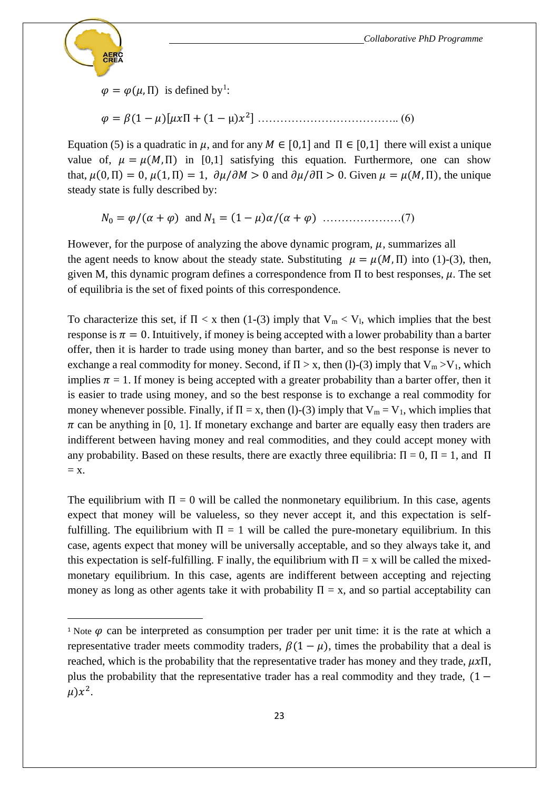

 $\varphi = \varphi(\mu, \Pi)$  is defined by<sup>1</sup>:

 $\varphi = \beta(1-\mu)[\mu x \Pi + (1-\mu)x^2] \dots$  [6]

Equation (5) is a quadratic in  $\mu$ , and for any  $M \in [0,1]$  and  $\Pi \in [0,1]$  there will exist a unique value of,  $\mu = \mu(M, \Pi)$  in [0,1] satisfying this equation. Furthermore, one can show that,  $\mu(0, \Pi) = 0$ ,  $\mu(1, \Pi) = 1$ ,  $\partial \mu / \partial M > 0$  and  $\partial \mu / \partial \Pi > 0$ . Given  $\mu = \mu(M, \Pi)$ , the unique steady state is fully described by:

<sup>0</sup> = /( + ) and <sup>1</sup> = (1 − )/( + ) …………………(7)

However, for the purpose of analyzing the above dynamic program,  $\mu$ , summarizes all the agent needs to know about the steady state. Substituting  $\mu = \mu(M, \Pi)$  into (1)-(3), then, given M, this dynamic program defines a correspondence from  $\Pi$  to best responses,  $\mu$ . The set of equilibria is the set of fixed points of this correspondence.

To characterize this set, if  $\Pi < x$  then (1-(3) imply that  $V_m < V_l$ , which implies that the best response is  $\pi = 0$ . Intuitively, if money is being accepted with a lower probability than a barter offer, then it is harder to trade using money than barter, and so the best response is never to exchange a real commodity for money. Second, if  $\Pi > x$ , then (l)-(3) imply that  $V_m > V_1$ , which implies  $\pi = 1$ . If money is being accepted with a greater probability than a barter offer, then it is easier to trade using money, and so the best response is to exchange a real commodity for money whenever possible. Finally, if  $\Pi = x$ , then (1)-(3) imply that  $V_m = V_1$ , which implies that  $\pi$  can be anything in [0, 1]. If monetary exchange and barter are equally easy then traders are indifferent between having money and real commodities, and they could accept money with any probability. Based on these results, there are exactly three equilibria:  $\Pi = 0$ ,  $\Pi = 1$ , and  $\Pi$  $=$  X.

The equilibrium with  $\Pi = 0$  will be called the nonmonetary equilibrium. In this case, agents expect that money will be valueless, so they never accept it, and this expectation is selffulfilling. The equilibrium with  $\Pi = 1$  will be called the pure-monetary equilibrium. In this case, agents expect that money will be universally acceptable, and so they always take it, and this expectation is self-fulfilling. F inally, the equilibrium with  $\Pi = x$  will be called the mixedmonetary equilibrium. In this case, agents are indifferent between accepting and rejecting money as long as other agents take it with probability  $\Pi = x$ , and so partial acceptability can

<sup>&</sup>lt;sup>1</sup> Note  $\varphi$  can be interpreted as consumption per trader per unit time: it is the rate at which a representative trader meets commodity traders,  $\beta(1 - \mu)$ , times the probability that a deal is reached, which is the probability that the representative trader has money and they trade,  $\mu x \Pi$ , plus the probability that the representative trader has a real commodity and they trade,  $(1 \mu$ ) $x^2$ .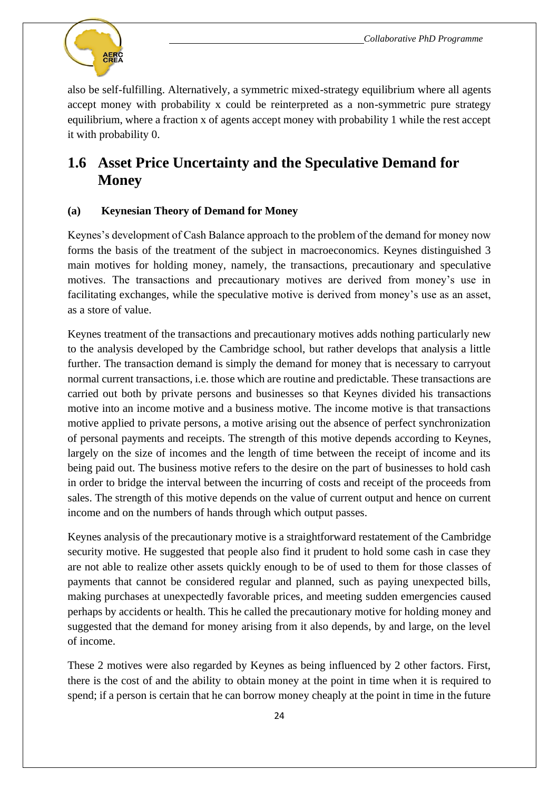

also be self-fulfilling. Alternatively, a symmetric mixed-strategy equilibrium where all agents accept money with probability x could be reinterpreted as a non-symmetric pure strategy equilibrium, where a fraction x of agents accept money with probability 1 while the rest accept it with probability 0.

## <span id="page-23-0"></span>**1.6 Asset Price Uncertainty and the Speculative Demand for Money**

## **(a) Keynesian Theory of Demand for Money**

Keynes's development of Cash Balance approach to the problem of the demand for money now forms the basis of the treatment of the subject in macroeconomics. Keynes distinguished 3 main motives for holding money, namely, the transactions, precautionary and speculative motives. The transactions and precautionary motives are derived from money's use in facilitating exchanges, while the speculative motive is derived from money's use as an asset, as a store of value.

Keynes treatment of the transactions and precautionary motives adds nothing particularly new to the analysis developed by the Cambridge school, but rather develops that analysis a little further. The transaction demand is simply the demand for money that is necessary to carryout normal current transactions, i.e. those which are routine and predictable. These transactions are carried out both by private persons and businesses so that Keynes divided his transactions motive into an income motive and a business motive. The income motive is that transactions motive applied to private persons, a motive arising out the absence of perfect synchronization of personal payments and receipts. The strength of this motive depends according to Keynes, largely on the size of incomes and the length of time between the receipt of income and its being paid out. The business motive refers to the desire on the part of businesses to hold cash in order to bridge the interval between the incurring of costs and receipt of the proceeds from sales. The strength of this motive depends on the value of current output and hence on current income and on the numbers of hands through which output passes.

Keynes analysis of the precautionary motive is a straightforward restatement of the Cambridge security motive. He suggested that people also find it prudent to hold some cash in case they are not able to realize other assets quickly enough to be of used to them for those classes of payments that cannot be considered regular and planned, such as paying unexpected bills, making purchases at unexpectedly favorable prices, and meeting sudden emergencies caused perhaps by accidents or health. This he called the precautionary motive for holding money and suggested that the demand for money arising from it also depends, by and large, on the level of income.

These 2 motives were also regarded by Keynes as being influenced by 2 other factors. First, there is the cost of and the ability to obtain money at the point in time when it is required to spend; if a person is certain that he can borrow money cheaply at the point in time in the future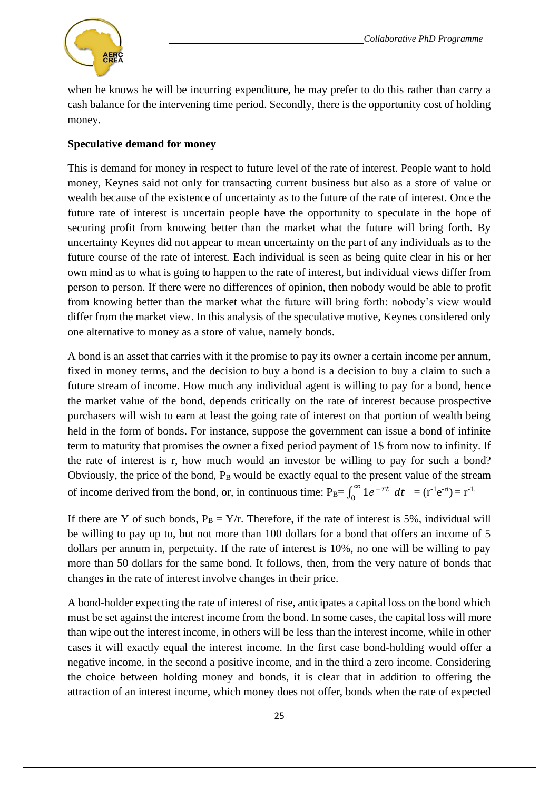

when he knows he will be incurring expenditure, he may prefer to do this rather than carry a cash balance for the intervening time period. Secondly, there is the opportunity cost of holding money.

## **Speculative demand for money**

This is demand for money in respect to future level of the rate of interest. People want to hold money, Keynes said not only for transacting current business but also as a store of value or wealth because of the existence of uncertainty as to the future of the rate of interest. Once the future rate of interest is uncertain people have the opportunity to speculate in the hope of securing profit from knowing better than the market what the future will bring forth. By uncertainty Keynes did not appear to mean uncertainty on the part of any individuals as to the future course of the rate of interest. Each individual is seen as being quite clear in his or her own mind as to what is going to happen to the rate of interest, but individual views differ from person to person. If there were no differences of opinion, then nobody would be able to profit from knowing better than the market what the future will bring forth: nobody's view would differ from the market view. In this analysis of the speculative motive, Keynes considered only one alternative to money as a store of value, namely bonds.

A bond is an asset that carries with it the promise to pay its owner a certain income per annum, fixed in money terms, and the decision to buy a bond is a decision to buy a claim to such a future stream of income. How much any individual agent is willing to pay for a bond, hence the market value of the bond, depends critically on the rate of interest because prospective purchasers will wish to earn at least the going rate of interest on that portion of wealth being held in the form of bonds. For instance, suppose the government can issue a bond of infinite term to maturity that promises the owner a fixed period payment of 1\$ from now to infinity. If the rate of interest is r, how much would an investor be willing to pay for such a bond? Obviously, the price of the bond,  $P_B$  would be exactly equal to the present value of the stream of income derived from the bond, or, in continuous time:  $P_B = \int_0^\infty 1e^{-rt}$  $\int_0^\infty 1e^{-rt} dt = (r^{-1}e^{-rt}) = r^{-1}$ 

If there are Y of such bonds,  $P_B = Y/r$ . Therefore, if the rate of interest is 5%, individual will be willing to pay up to, but not more than 100 dollars for a bond that offers an income of 5 dollars per annum in, perpetuity. If the rate of interest is 10%, no one will be willing to pay more than 50 dollars for the same bond. It follows, then, from the very nature of bonds that changes in the rate of interest involve changes in their price.

A bond-holder expecting the rate of interest of rise, anticipates a capital loss on the bond which must be set against the interest income from the bond. In some cases, the capital loss will more than wipe out the interest income, in others will be less than the interest income, while in other cases it will exactly equal the interest income. In the first case bond-holding would offer a negative income, in the second a positive income, and in the third a zero income. Considering the choice between holding money and bonds, it is clear that in addition to offering the attraction of an interest income, which money does not offer, bonds when the rate of expected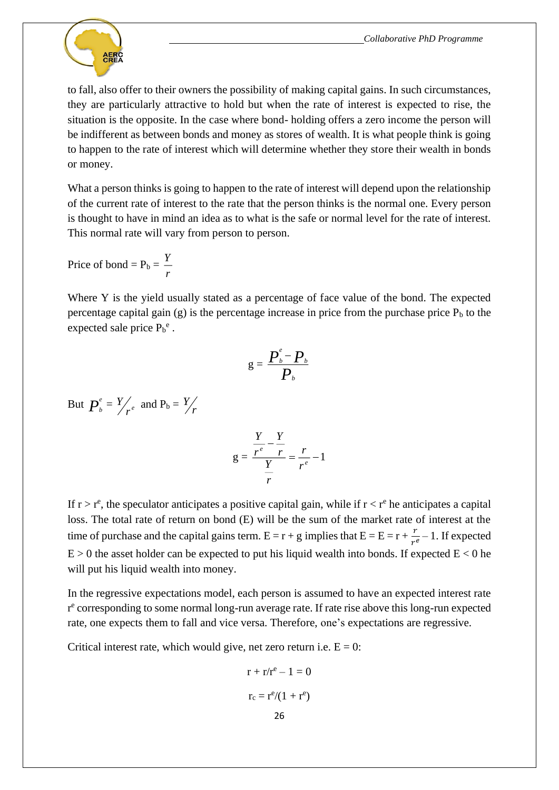

to fall, also offer to their owners the possibility of making capital gains. In such circumstances, they are particularly attractive to hold but when the rate of interest is expected to rise, the situation is the opposite. In the case where bond- holding offers a zero income the person will be indifferent as between bonds and money as stores of wealth. It is what people think is going to happen to the rate of interest which will determine whether they store their wealth in bonds or money.

What a person thinks is going to happen to the rate of interest will depend upon the relationship of the current rate of interest to the rate that the person thinks is the normal one. Every person is thought to have in mind an idea as to what is the safe or normal level for the rate of interest. This normal rate will vary from person to person.

Price of bond =  $P_b = \frac{1}{r}$ *Y*

Where Y is the yield usually stated as a percentage of face value of the bond. The expected percentage capital gain (g) is the percentage increase in price from the purchase price  $P_b$  to the expected sale price  $P_b^e$ .

$$
g = \frac{\boldsymbol{P}_{b}^{e} - \boldsymbol{P}_{b}}{\boldsymbol{P}_{b}}
$$

But  $P_{\scriptscriptstyle h}^{\scriptscriptstyle e}$  $\frac{e}{b} = \frac{Y}{r^e}$  $\frac{Y}{r^e}$  and P<sub>b</sub> =  $\frac{Y}{r}$ *Y*

$$
g = \frac{\frac{Y}{r^e} - \frac{Y}{r}}{\frac{Y}{r}} = \frac{r}{r^e} - 1
$$

If  $r > r^e$ , the speculator anticipates a positive capital gain, while if  $r < r^e$  he anticipates a capital loss. The total rate of return on bond (E) will be the sum of the market rate of interest at the time of purchase and the capital gains term.  $E = r + g$  implies that  $E = E = r + \frac{r}{r^e} - 1$ . If expected  $E > 0$  the asset holder can be expected to put his liquid wealth into bonds. If expected  $E < 0$  he will put his liquid wealth into money.

In the regressive expectations model, each person is assumed to have an expected interest rate r<sup>e</sup> corresponding to some normal long-run average rate. If rate rise above this long-run expected rate, one expects them to fall and vice versa. Therefore, one's expectations are regressive.

Critical interest rate, which would give, net zero return i.e.  $E = 0$ :

$$
r + r/r^e - 1 = 0
$$

$$
r_c = r^e/(1 + r^e)
$$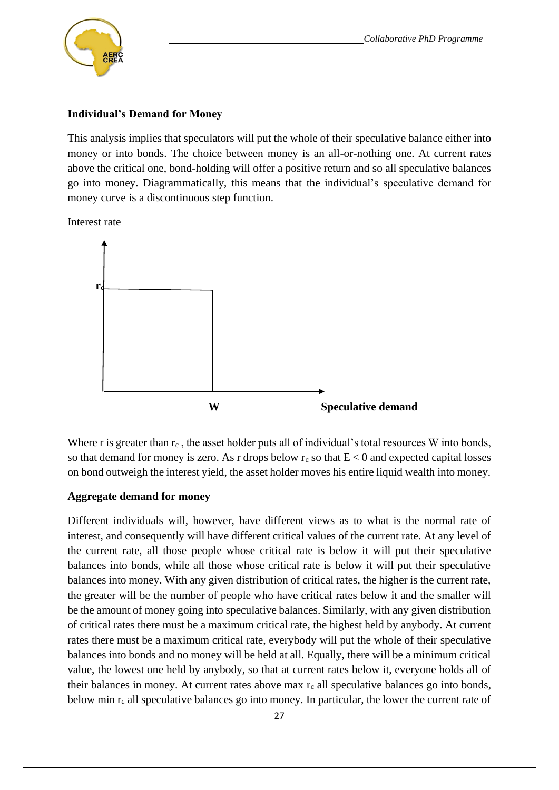

### **Individual's Demand for Money**

This analysis implies that speculators will put the whole of their speculative balance either into money or into bonds. The choice between money is an all-or-nothing one. At current rates above the critical one, bond-holding will offer a positive return and so all speculative balances go into money. Diagrammatically, this means that the individual's speculative demand for money curve is a discontinuous step function.

Interest rate



Where r is greater than  $r_c$ , the asset holder puts all of individual's total resources W into bonds, so that demand for money is zero. As r drops below  $r_c$  so that  $E < 0$  and expected capital losses on bond outweigh the interest yield, the asset holder moves his entire liquid wealth into money.

## **Aggregate demand for money**

Different individuals will, however, have different views as to what is the normal rate of interest, and consequently will have different critical values of the current rate. At any level of the current rate, all those people whose critical rate is below it will put their speculative balances into bonds, while all those whose critical rate is below it will put their speculative balances into money. With any given distribution of critical rates, the higher is the current rate, the greater will be the number of people who have critical rates below it and the smaller will be the amount of money going into speculative balances. Similarly, with any given distribution of critical rates there must be a maximum critical rate, the highest held by anybody. At current rates there must be a maximum critical rate, everybody will put the whole of their speculative balances into bonds and no money will be held at all. Equally, there will be a minimum critical value, the lowest one held by anybody, so that at current rates below it, everyone holds all of their balances in money. At current rates above max  $r_c$  all speculative balances go into bonds, below min  $r_c$  all speculative balances go into money. In particular, the lower the current rate of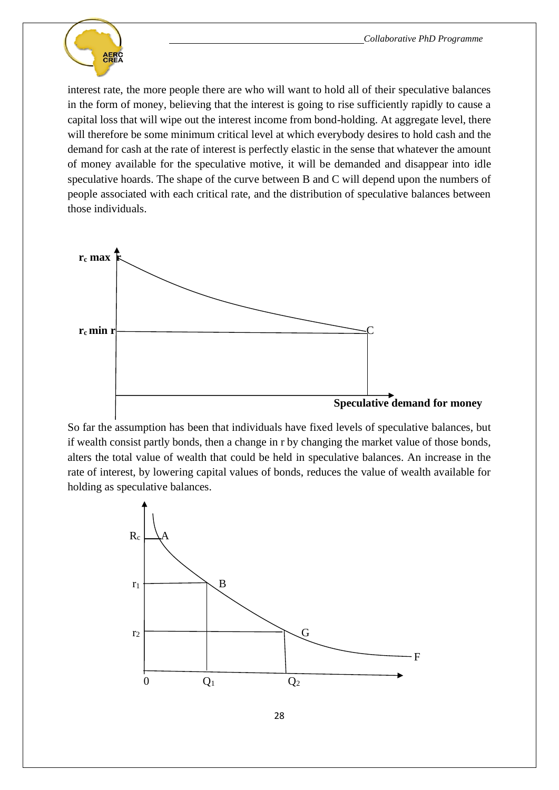

interest rate, the more people there are who will want to hold all of their speculative balances in the form of money, believing that the interest is going to rise sufficiently rapidly to cause a capital loss that will wipe out the interest income from bond-holding. At aggregate level, there will therefore be some minimum critical level at which everybody desires to hold cash and the demand for cash at the rate of interest is perfectly elastic in the sense that whatever the amount of money available for the speculative motive, it will be demanded and disappear into idle speculative hoards. The shape of the curve between B and C will depend upon the numbers of people associated with each critical rate, and the distribution of speculative balances between those individuals.



So far the assumption has been that individuals have fixed levels of speculative balances, but if wealth consist partly bonds, then a change in r by changing the market value of those bonds, alters the total value of wealth that could be held in speculative balances. An increase in the rate of interest, by lowering capital values of bonds, reduces the value of wealth available for holding as speculative balances.

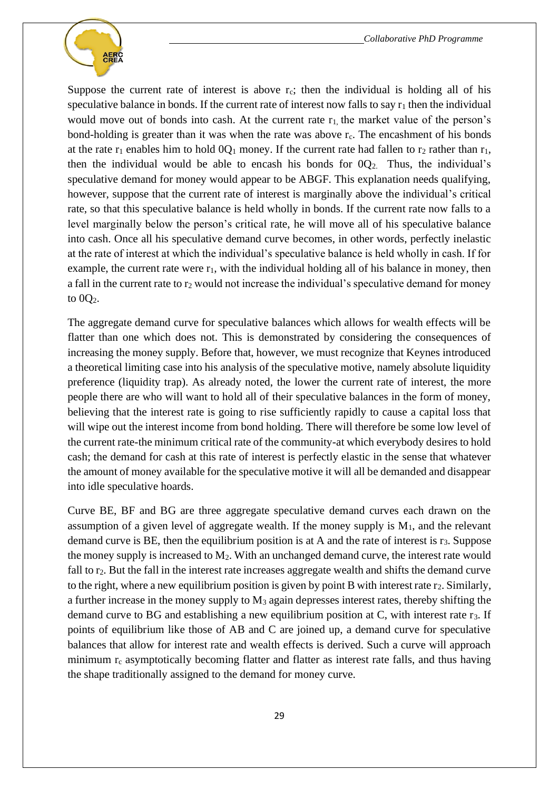

Suppose the current rate of interest is above  $r_c$ ; then the individual is holding all of his speculative balance in bonds. If the current rate of interest now falls to say  $r_1$  then the individual would move out of bonds into cash. At the current rate  $r_1$  the market value of the person's bond-holding is greater than it was when the rate was above  $r_c$ . The encashment of his bonds at the rate  $r_1$  enables him to hold  $0Q_1$  money. If the current rate had fallen to  $r_2$  rather than  $r_1$ , then the individual would be able to encash his bonds for  $0Q_2$ . Thus, the individual's speculative demand for money would appear to be ABGF. This explanation needs qualifying, however, suppose that the current rate of interest is marginally above the individual's critical rate, so that this speculative balance is held wholly in bonds. If the current rate now falls to a level marginally below the person's critical rate, he will move all of his speculative balance into cash. Once all his speculative demand curve becomes, in other words, perfectly inelastic at the rate of interest at which the individual's speculative balance is held wholly in cash. If for example, the current rate were  $r_1$ , with the individual holding all of his balance in money, then a fall in the current rate to  $r_2$  would not increase the individual's speculative demand for money to  $0<sub>0</sub>$ .

The aggregate demand curve for speculative balances which allows for wealth effects will be flatter than one which does not. This is demonstrated by considering the consequences of increasing the money supply. Before that, however, we must recognize that Keynes introduced a theoretical limiting case into his analysis of the speculative motive, namely absolute liquidity preference (liquidity trap). As already noted, the lower the current rate of interest, the more people there are who will want to hold all of their speculative balances in the form of money, believing that the interest rate is going to rise sufficiently rapidly to cause a capital loss that will wipe out the interest income from bond holding. There will therefore be some low level of the current rate-the minimum critical rate of the community-at which everybody desires to hold cash; the demand for cash at this rate of interest is perfectly elastic in the sense that whatever the amount of money available for the speculative motive it will all be demanded and disappear into idle speculative hoards.

Curve BE, BF and BG are three aggregate speculative demand curves each drawn on the assumption of a given level of aggregate wealth. If the money supply is  $M_1$ , and the relevant demand curve is BE, then the equilibrium position is at A and the rate of interest is  $r_3$ . Suppose the money supply is increased to M2. With an unchanged demand curve, the interest rate would fall to r<sub>2</sub>. But the fall in the interest rate increases aggregate wealth and shifts the demand curve to the right, where a new equilibrium position is given by point B with interest rate  $r_2$ . Similarly, a further increase in the money supply to  $M_3$  again depresses interest rates, thereby shifting the demand curve to BG and establishing a new equilibrium position at C, with interest rate r<sub>3</sub>. If points of equilibrium like those of AB and C are joined up, a demand curve for speculative balances that allow for interest rate and wealth effects is derived. Such a curve will approach minimum  $r_c$  asymptotically becoming flatter and flatter as interest rate falls, and thus having the shape traditionally assigned to the demand for money curve.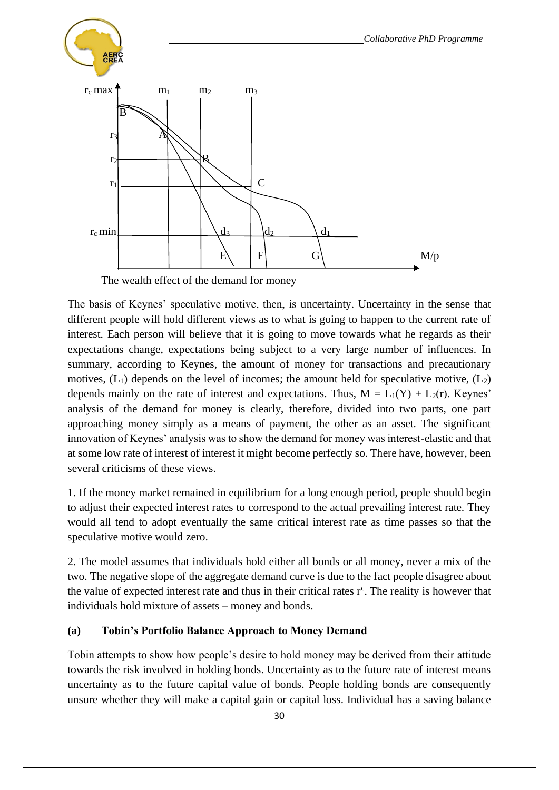

The wealth effect of the demand for money

The basis of Keynes' speculative motive, then, is uncertainty. Uncertainty in the sense that different people will hold different views as to what is going to happen to the current rate of interest. Each person will believe that it is going to move towards what he regards as their expectations change, expectations being subject to a very large number of influences. In summary, according to Keynes, the amount of money for transactions and precautionary motives,  $(L_1)$  depends on the level of incomes; the amount held for speculative motive,  $(L_2)$ depends mainly on the rate of interest and expectations. Thus,  $M = L_1(Y) + L_2(r)$ . Keynes' analysis of the demand for money is clearly, therefore, divided into two parts, one part approaching money simply as a means of payment, the other as an asset. The significant innovation of Keynes' analysis was to show the demand for money was interest-elastic and that at some low rate of interest of interest it might become perfectly so. There have, however, been several criticisms of these views.

1. If the money market remained in equilibrium for a long enough period, people should begin to adjust their expected interest rates to correspond to the actual prevailing interest rate. They would all tend to adopt eventually the same critical interest rate as time passes so that the speculative motive would zero.

2. The model assumes that individuals hold either all bonds or all money, never a mix of the two. The negative slope of the aggregate demand curve is due to the fact people disagree about the value of expected interest rate and thus in their critical rates  $r<sup>c</sup>$ . The reality is however that individuals hold mixture of assets – money and bonds.

#### **(a) Tobin's Portfolio Balance Approach to Money Demand**

Tobin attempts to show how people's desire to hold money may be derived from their attitude towards the risk involved in holding bonds. Uncertainty as to the future rate of interest means uncertainty as to the future capital value of bonds. People holding bonds are consequently unsure whether they will make a capital gain or capital loss. Individual has a saving balance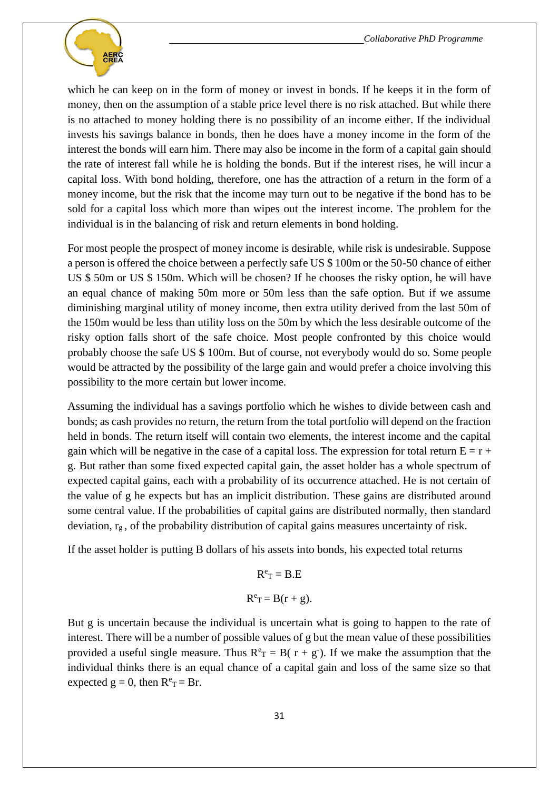

which he can keep on in the form of money or invest in bonds. If he keeps it in the form of money, then on the assumption of a stable price level there is no risk attached. But while there is no attached to money holding there is no possibility of an income either. If the individual invests his savings balance in bonds, then he does have a money income in the form of the interest the bonds will earn him. There may also be income in the form of a capital gain should the rate of interest fall while he is holding the bonds. But if the interest rises, he will incur a capital loss. With bond holding, therefore, one has the attraction of a return in the form of a money income, but the risk that the income may turn out to be negative if the bond has to be sold for a capital loss which more than wipes out the interest income. The problem for the individual is in the balancing of risk and return elements in bond holding.

For most people the prospect of money income is desirable, while risk is undesirable. Suppose a person is offered the choice between a perfectly safe US \$ 100m or the 50-50 chance of either US \$ 50m or US \$ 150m. Which will be chosen? If he chooses the risky option, he will have an equal chance of making 50m more or 50m less than the safe option. But if we assume diminishing marginal utility of money income, then extra utility derived from the last 50m of the 150m would be less than utility loss on the 50m by which the less desirable outcome of the risky option falls short of the safe choice. Most people confronted by this choice would probably choose the safe US \$ 100m. But of course, not everybody would do so. Some people would be attracted by the possibility of the large gain and would prefer a choice involving this possibility to the more certain but lower income.

Assuming the individual has a savings portfolio which he wishes to divide between cash and bonds; as cash provides no return, the return from the total portfolio will depend on the fraction held in bonds. The return itself will contain two elements, the interest income and the capital gain which will be negative in the case of a capital loss. The expression for total return  $E = r +$ g. But rather than some fixed expected capital gain, the asset holder has a whole spectrum of expected capital gains, each with a probability of its occurrence attached. He is not certain of the value of g he expects but has an implicit distribution. These gains are distributed around some central value. If the probabilities of capital gains are distributed normally, then standard deviation,  $r_g$ , of the probability distribution of capital gains measures uncertainty of risk.

If the asset holder is putting B dollars of his assets into bonds, his expected total returns

$$
R^{e}T = B.E
$$

$$
R^{e}T = B(r + g).
$$

But g is uncertain because the individual is uncertain what is going to happen to the rate of interest. There will be a number of possible values of g but the mean value of these possibilities provided a useful single measure. Thus  $R^e_T = B(r + g<sup>2</sup>)$ . If we make the assumption that the individual thinks there is an equal chance of a capital gain and loss of the same size so that expected  $g = 0$ , then  $R^e_T = Br$ .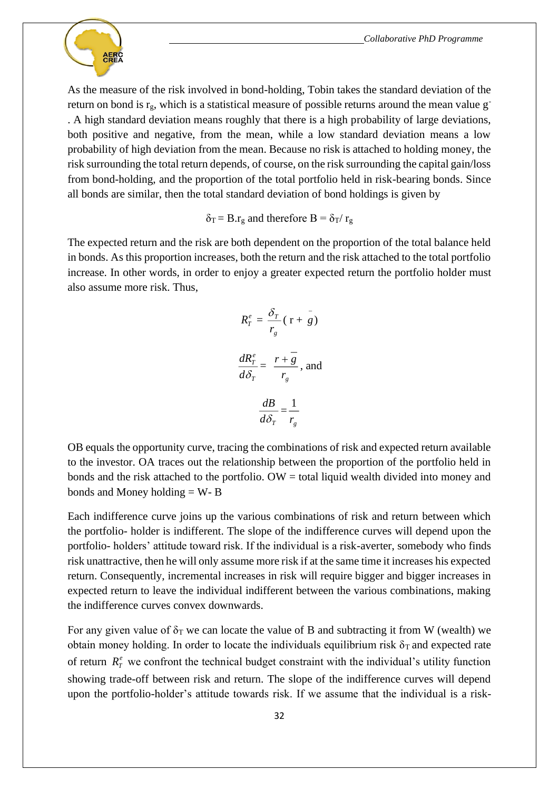

As the measure of the risk involved in bond-holding, Tobin takes the standard deviation of the return on bond is r<sub>g</sub>, which is a statistical measure of possible returns around the mean value g<sup>-</sup> . A high standard deviation means roughly that there is a high probability of large deviations, both positive and negative, from the mean, while a low standard deviation means a low probability of high deviation from the mean. Because no risk is attached to holding money, the risk surrounding the total return depends, of course, on the risk surrounding the capital gain/loss from bond-holding, and the proportion of the total portfolio held in risk-bearing bonds. Since all bonds are similar, then the total standard deviation of bond holdings is given by

#### $\delta_{\rm T}$  = B.r<sub>g</sub> and therefore B =  $\delta_{\rm T}/r_{\rm g}$

The expected return and the risk are both dependent on the proportion of the total balance held in bonds. As this proportion increases, both the return and the risk attached to the total portfolio increase. In other words, in order to enjoy a greater expected return the portfolio holder must also assume more risk. Thus,

$$
R_{T}^{e} = \frac{\delta_{T}}{r_{g}} (\mathbf{r} + \mathbf{g})
$$

$$
\frac{dR_{T}^{e}}{d\delta_{T}} = \frac{r + \mathbf{g}}{r_{g}}, \text{ and}
$$

$$
\frac{d\mathbf{B}}{d\delta_{T}} = \frac{1}{r_{g}}
$$

OB equals the opportunity curve, tracing the combinations of risk and expected return available to the investor. OA traces out the relationship between the proportion of the portfolio held in bonds and the risk attached to the portfolio. OW = total liquid wealth divided into money and bonds and Money holding  $= W - B$ 

Each indifference curve joins up the various combinations of risk and return between which the portfolio- holder is indifferent. The slope of the indifference curves will depend upon the portfolio- holders' attitude toward risk. If the individual is a risk-averter, somebody who finds risk unattractive, then he will only assume more risk if at the same time it increases his expected return. Consequently, incremental increases in risk will require bigger and bigger increases in expected return to leave the individual indifferent between the various combinations, making the indifference curves convex downwards.

For any given value of  $\delta_T$  we can locate the value of B and subtracting it from W (wealth) we obtain money holding. In order to locate the individuals equilibrium risk  $\delta_T$  and expected rate of return  $R_T^e$  we confront the technical budget constraint with the individual's utility function showing trade-off between risk and return. The slope of the indifference curves will depend upon the portfolio-holder's attitude towards risk. If we assume that the individual is a risk-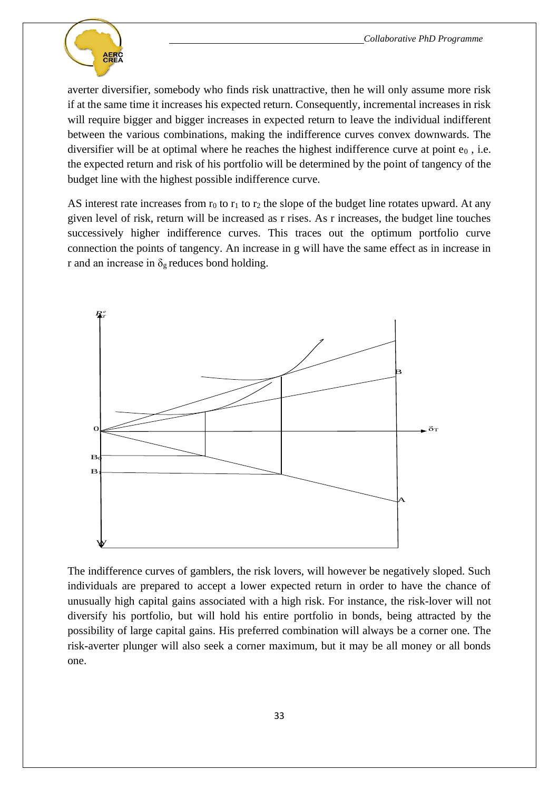

averter diversifier, somebody who finds risk unattractive, then he will only assume more risk if at the same time it increases his expected return. Consequently, incremental increases in risk will require bigger and bigger increases in expected return to leave the individual indifferent between the various combinations, making the indifference curves convex downwards. The diversifier will be at optimal where he reaches the highest indifference curve at point  $e_0$ , i.e. the expected return and risk of his portfolio will be determined by the point of tangency of the budget line with the highest possible indifference curve.

AS interest rate increases from  $r_0$  to  $r_1$  to  $r_2$  the slope of the budget line rotates upward. At any given level of risk, return will be increased as r rises. As r increases, the budget line touches successively higher indifference curves. This traces out the optimum portfolio curve connection the points of tangency. An increase in g will have the same effect as in increase in r and an increase in  $\delta_{\rm g}$  reduces bond holding.



The indifference curves of gamblers, the risk lovers, will however be negatively sloped. Such individuals are prepared to accept a lower expected return in order to have the chance of unusually high capital gains associated with a high risk. For instance, the risk-lover will not diversify his portfolio, but will hold his entire portfolio in bonds, being attracted by the possibility of large capital gains. His preferred combination will always be a corner one. The risk-averter plunger will also seek a corner maximum, but it may be all money or all bonds one.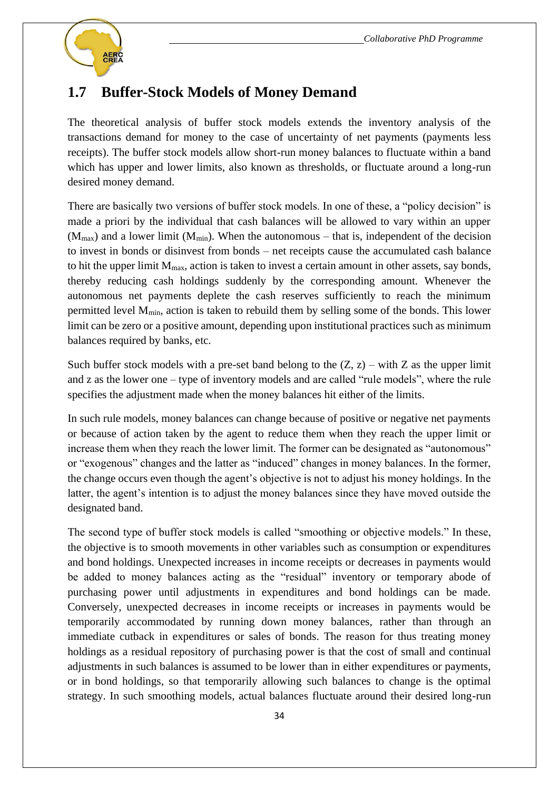

## <span id="page-33-0"></span>**1.7 Buffer-Stock Models of Money Demand**

The theoretical analysis of buffer stock models extends the inventory analysis of the transactions demand for money to the case of uncertainty of net payments (payments less receipts). The buffer stock models allow short-run money balances to fluctuate within a band which has upper and lower limits, also known as thresholds, or fluctuate around a long-run desired money demand.

There are basically two versions of buffer stock models. In one of these, a "policy decision" is made a priori by the individual that cash balances will be allowed to vary within an upper  $(M_{\text{max}})$  and a lower limit  $(M_{\text{min}})$ . When the autonomous – that is, independent of the decision to invest in bonds or disinvest from bonds – net receipts cause the accumulated cash balance to hit the upper limit  $M_{\text{max}}$ , action is taken to invest a certain amount in other assets, say bonds, thereby reducing cash holdings suddenly by the corresponding amount. Whenever the autonomous net payments deplete the cash reserves sufficiently to reach the minimum permitted level Mmin, action is taken to rebuild them by selling some of the bonds. This lower limit can be zero or a positive amount, depending upon institutional practices such as minimum balances required by banks, etc.

Such buffer stock models with a pre-set band belong to the  $(Z, z)$  – with Z as the upper limit and z as the lower one – type of inventory models and are called "rule models", where the rule specifies the adjustment made when the money balances hit either of the limits.

In such rule models, money balances can change because of positive or negative net payments or because of action taken by the agent to reduce them when they reach the upper limit or increase them when they reach the lower limit. The former can be designated as "autonomous" or "exogenous" changes and the latter as "induced" changes in money balances. In the former, the change occurs even though the agent's objective is not to adjust his money holdings. In the latter, the agent's intention is to adjust the money balances since they have moved outside the designated band.

The second type of buffer stock models is called "smoothing or objective models." In these, the objective is to smooth movements in other variables such as consumption or expenditures and bond holdings. Unexpected increases in income receipts or decreases in payments would be added to money balances acting as the "residual" inventory or temporary abode of purchasing power until adjustments in expenditures and bond holdings can be made. Conversely, unexpected decreases in income receipts or increases in payments would be temporarily accommodated by running down money balances, rather than through an immediate cutback in expenditures or sales of bonds. The reason for thus treating money holdings as a residual repository of purchasing power is that the cost of small and continual adjustments in such balances is assumed to be lower than in either expenditures or payments, or in bond holdings, so that temporarily allowing such balances to change is the optimal strategy. In such smoothing models, actual balances fluctuate around their desired long-run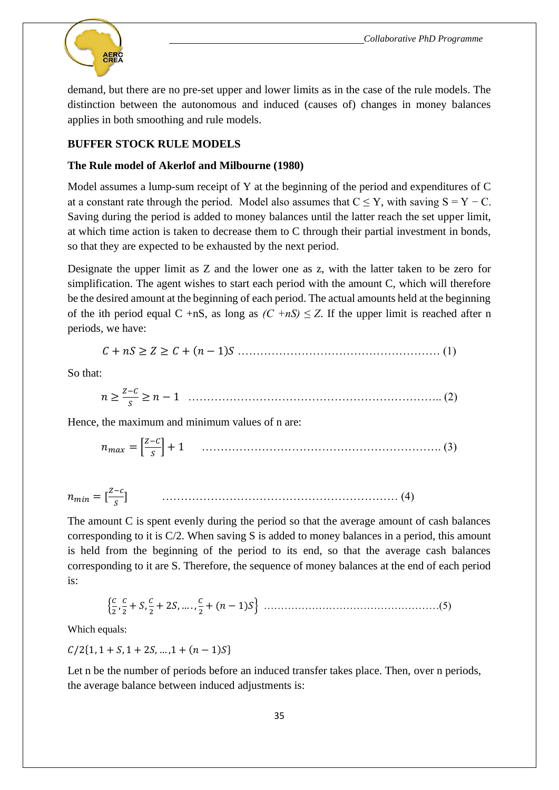

demand, but there are no pre-set upper and lower limits as in the case of the rule models. The distinction between the autonomous and induced (causes of) changes in money balances applies in both smoothing and rule models.

## **BUFFER STOCK RULE MODELS**

## **The Rule model of Akerlof and Milbourne (1980)**

Model assumes a lump-sum receipt of Y at the beginning of the period and expenditures of C at a constant rate through the period. Model also assumes that  $C \leq Y$ , with saving  $S = Y - C$ . Saving during the period is added to money balances until the latter reach the set upper limit, at which time action is taken to decrease them to C through their partial investment in bonds, so that they are expected to be exhausted by the next period.

Designate the upper limit as Z and the lower one as z, with the latter taken to be zero for simplification. The agent wishes to start each period with the amount C, which will therefore be the desired amount at the beginning of each period. The actual amounts held at the beginning of the ith period equal C +nS, as long as  $(C + nS) \le Z$ . If the upper limit is reached after n periods, we have:

$$
C + nS \ge Z \ge C + (n - 1)S
$$
.................(1)

So that:

$$
n \ge \frac{z-c}{s} \ge n-1 \quad \dots \quad \dots \quad \dots \quad \dots \quad (2)
$$

Hence, the maximum and minimum values of n are:

$$
n_{max} = \left[\frac{z-c}{s}\right] + 1 \qquad \dots \qquad (3)
$$

$$
n_{min} = \left[\frac{z-c}{s}\right] \tag{4}
$$

The amount C is spent evenly during the period so that the average amount of cash balances corresponding to it is C/2. When saving S is added to money balances in a period, this amount is held from the beginning of the period to its end, so that the average cash balances corresponding to it are S. Therefore, the sequence of money balances at the end of each period  $i_{s}$ 

{ 2 , 2 + , 2 + 2, … . , 2 + ( − 1)} ……………………………………………(5)

Which equals:

 $C/2\{1, 1 + S, 1 + 2S, ..., 1 + (n - 1)S\}$ 

Let n be the number of periods before an induced transfer takes place. Then, over n periods, the average balance between induced adjustments is: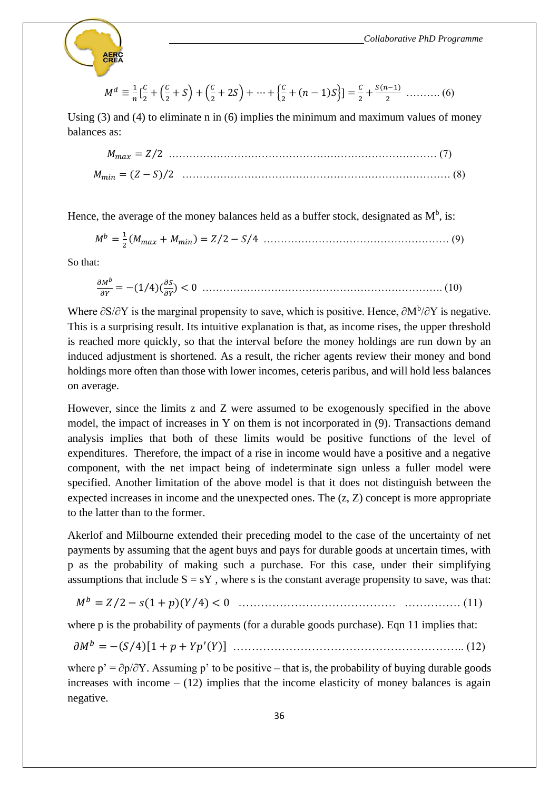*Collaborative PhD Programme*



$$
M^{d} \equiv \frac{1}{n} \left[ \frac{c}{2} + \left( \frac{c}{2} + S \right) + \left( \frac{c}{2} + 2S \right) + \dots + \left( \frac{c}{2} + (n-1)S \right) \right] = \frac{c}{2} + \frac{S(n-1)}{2} \dots \dots \dots \dots (6)
$$

Using (3) and (4) to eliminate n in (6) implies the minimum and maximum values of money balances as:

 = ⁄2 …………………………………………………………………… (7) = ( − )⁄2 …………………………………………………………………… (8)

Hence, the average of the money balances held as a buffer stock, designated as  $M^b$ , is:

 = 1 2 ( + ) = ⁄2 − ⁄4 ……………………………………………… (9)

So that:

 <sup>=</sup> −(1⁄4)( ) <sup>&</sup>lt; <sup>0</sup> ……………………………………………………………. (10)

Where  $\partial S/\partial Y$  is the marginal propensity to save, which is positive. Hence,  $\partial M^b/\partial Y$  is negative. This is a surprising result. Its intuitive explanation is that, as income rises, the upper threshold is reached more quickly, so that the interval before the money holdings are run down by an induced adjustment is shortened. As a result, the richer agents review their money and bond holdings more often than those with lower incomes, ceteris paribus, and will hold less balances on average.

However, since the limits z and Z were assumed to be exogenously specified in the above model, the impact of increases in Y on them is not incorporated in (9). Transactions demand analysis implies that both of these limits would be positive functions of the level of expenditures. Therefore, the impact of a rise in income would have a positive and a negative component, with the net impact being of indeterminate sign unless a fuller model were specified. Another limitation of the above model is that it does not distinguish between the expected increases in income and the unexpected ones. The (z, Z) concept is more appropriate to the latter than to the former.

Akerlof and Milbourne extended their preceding model to the case of the uncertainty of net payments by assuming that the agent buys and pays for durable goods at uncertain times, with p as the probability of making such a purchase. For this case, under their simplifying assumptions that include  $S = sY$ , where s is the constant average propensity to save, was that:

$$
M^{b} = Z/2 - s(1+p)(Y/4) < 0 \quad \dots \quad \dots \quad \dots \quad \dots \quad \dots \quad \dots \quad \dots \quad \dots \tag{11}
$$

where p is the probability of payments (for a durable goods purchase). Eqn 11 implies that:

 = −(⁄4)[1 + + ′ ()] …………………………………………………….. (12)

where  $p' = \partial p / \partial Y$ . Assuming p' to be positive – that is, the probability of buying durable goods increases with income  $- (12)$  implies that the income elasticity of money balances is again negative.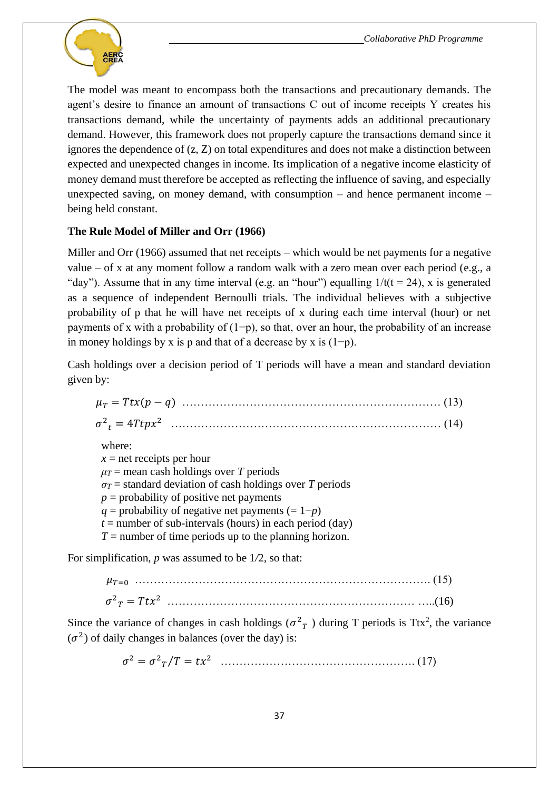

The model was meant to encompass both the transactions and precautionary demands. The agent's desire to finance an amount of transactions C out of income receipts Y creates his transactions demand, while the uncertainty of payments adds an additional precautionary demand. However, this framework does not properly capture the transactions demand since it ignores the dependence of (z, Z) on total expenditures and does not make a distinction between expected and unexpected changes in income. Its implication of a negative income elasticity of money demand must therefore be accepted as reflecting the influence of saving, and especially unexpected saving, on money demand, with consumption – and hence permanent income – being held constant.

## **The Rule Model of Miller and Orr (1966)**

Miller and Orr (1966) assumed that net receipts – which would be net payments for a negative value – of x at any moment follow a random walk with a zero mean over each period (e.g., a "day"). Assume that in any time interval (e.g. an "hour") equalling  $1/t(t = 24)$ , x is generated as a sequence of independent Bernoulli trials. The individual believes with a subjective probability of p that he will have net receipts of x during each time interval (hour) or net payments of x with a probability of (1−p), so that, over an hour, the probability of an increase in money holdings by x is p and that of a decrease by x is  $(1-p)$ .

Cash holdings over a decision period of T periods will have a mean and standard deviation given by:

 = ( − ) …………………………………………………………… (13) 2 = 4 2 ……………………………………………………………… (14) where:  $x =$  net receipts per hour  $\mu$ <sup>T</sup> = mean cash holdings over *T* periods  $\sigma_T$  = standard deviation of cash holdings over *T* periods  $p =$  probability of positive net payments  $q =$  probability of negative net payments  $(= 1-p)$  $t =$  number of sub-intervals (hours) in each period (day)  $T =$  number of time periods up to the planning horizon.

For simplification, *p* was assumed to be 1*/*2*,* so that:

=0 ……………………………………………………………………. (15) 2 = 2 ………………………………………………………… …..(16)

Since the variance of changes in cash holdings ( $\sigma^2$ <sub>T</sub>) during T periods is Ttx<sup>2</sup>, the variance  $(\sigma^2)$  of daily changes in balances (over the day) is:

<sup>2</sup> = 2 = <sup>2</sup> ⁄ ……………………………………………. (17)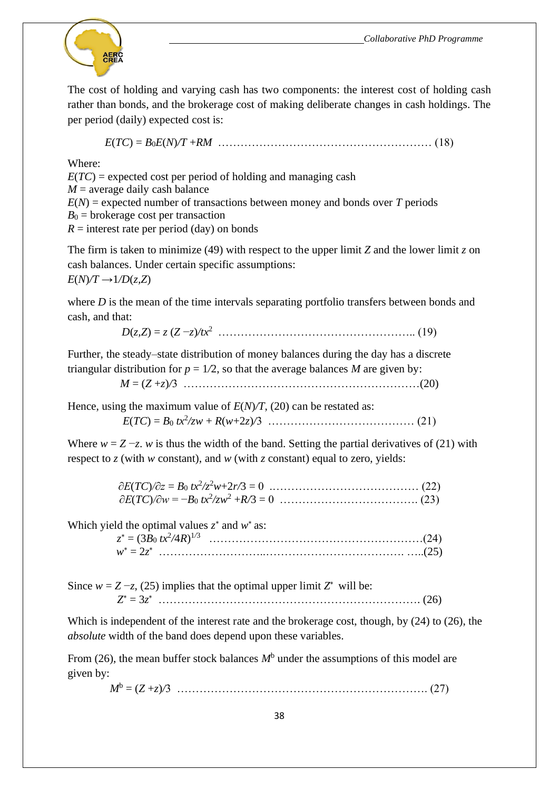

The cost of holding and varying cash has two components: the interest cost of holding cash rather than bonds, and the brokerage cost of making deliberate changes in cash holdings. The per period (daily) expected cost is:

*E*(*TC*) = *B*0*E*(*N*)*/T* +*RM* ………………………………………………… (18)

Where:

 $E(TC)$  = expected cost per period of holding and managing cash

 $M$  = average daily cash balance

 $E(N)$  = expected number of transactions between money and bonds over *T* periods  $B_0$  = brokerage cost per transaction

 $R =$  interest rate per period (day) on bonds

The firm is taken to minimize (49) with respect to the upper limit *Z* and the lower limit *z* on cash balances. Under certain specific assumptions:  $E(N)/T \rightarrow 1/D(z,Z)$ 

where *D* is the mean of the time intervals separating portfolio transfers between bonds and cash, and that:

*D*(*z,Z*) = *z* (*Z* −*z*)*/tx*<sup>2</sup> …………………………………………….. (19)

Further, the steady–state distribution of money balances during the day has a discrete triangular distribution for  $p = 1/2$ , so that the average balances *M* are given by:

*M* = (*Z* +*z*)*/*3 ………………………………………………………(20)

Hence, using the maximum value of *E*(*N*)*/T*, (20) can be restated as:

*E*(*TC*) = *B*<sup>0</sup> *tx*<sup>2</sup> */zw* + *R*(*w*+2*z*)*/*3 ………………………………… (21)

Where  $w = Z - z$ . *w* is thus the width of the band. Setting the partial derivatives of (21) with respect to *z* (with *w* constant), and *w* (with *z* constant) equal to zero, yields:

> *∂E*(*TC*)*/∂z* = *B*<sup>0</sup> *tx*<sup>2</sup> */z*<sup>2</sup>*w*+2*r/*3 = 0 .………………………………… (22) *∂E*(*TC*)*/∂w* = −*B*<sup>0</sup> *tx*<sup>2</sup> */zw*<sup>2</sup> +*R/*3 = 0 ………………………………. (23)

Which yield the optimal values  $z^*$  and  $w^*$  as:

Since  $w = Z - z$ , (25) implies that the optimal upper limit  $Z^*$  will be:

*Z* <sup>∗</sup> = 3*z* ∗ ……………………………………………………………. (26)

Which is independent of the interest rate and the brokerage cost, though, by (24) to (26), the *absolute* width of the band does depend upon these variables.

From (26), the mean buffer stock balances  $M^b$  under the assumptions of this model are given by:

*M*<sup>b</sup> = (*Z* +*z*)*/*3 …………………………………………………………. (27)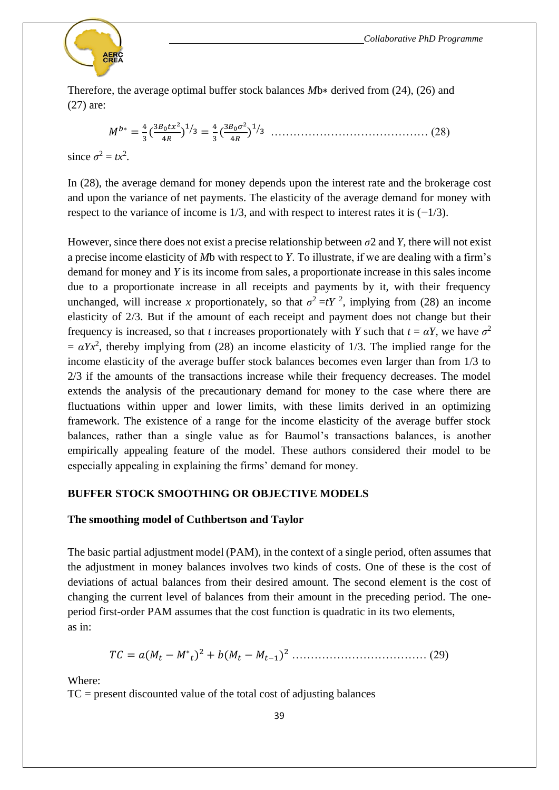



Therefore, the average optimal buffer stock balances *M*b∗ derived from (24), (26) and (27) are:

∗ = 4 3 ( 30 2 4 ) 1 3 <sup>⁄</sup> = 4 3 ( 30 2 4 ) 1 3 ⁄ …………………………………… (28) since *σ* <sup>2</sup> = *tx*<sup>2</sup> .

In (28), the average demand for money depends upon the interest rate and the brokerage cost and upon the variance of net payments. The elasticity of the average demand for money with respect to the variance of income is  $1/3$ , and with respect to interest rates it is  $(-1/3)$ .

However, since there does not exist a precise relationship between *σ*2 and *Y,* there will not exist a precise income elasticity of *M*b with respect to *Y*. To illustrate, if we are dealing with a firm's demand for money and *Y* is its income from sales, a proportionate increase in this sales income due to a proportionate increase in all receipts and payments by it, with their frequency unchanged, will increase *x* proportionately, so that  $\sigma^2 = tY^2$ , implying from (28) an income elasticity of 2/3. But if the amount of each receipt and payment does not change but their frequency is increased, so that *t* increases proportionately with *Y* such that  $t = \alpha Y$ , we have  $\sigma^2$  $= \alpha Yx^2$ , thereby implying from (28) an income elasticity of 1/3. The implied range for the income elasticity of the average buffer stock balances becomes even larger than from 1/3 to 2/3 if the amounts of the transactions increase while their frequency decreases. The model extends the analysis of the precautionary demand for money to the case where there are fluctuations within upper and lower limits, with these limits derived in an optimizing framework. The existence of a range for the income elasticity of the average buffer stock balances, rather than a single value as for Baumol's transactions balances, is another empirically appealing feature of the model. These authors considered their model to be especially appealing in explaining the firms' demand for money.

#### **BUFFER STOCK SMOOTHING OR OBJECTIVE MODELS**

#### **The smoothing model of Cuthbertson and Taylor**

The basic partial adjustment model (PAM), in the context of a single period, often assumes that the adjustment in money balances involves two kinds of costs. One of these is the cost of deviations of actual balances from their desired amount. The second element is the cost of changing the current level of balances from their amount in the preceding period. The oneperiod first-order PAM assumes that the cost function is quadratic in its two elements, as in:

 = ( − <sup>∗</sup> ) <sup>2</sup> + ( − −1 ) <sup>2</sup> ……………………………… (29)

Where:

TC = present discounted value of the total cost of adjusting balances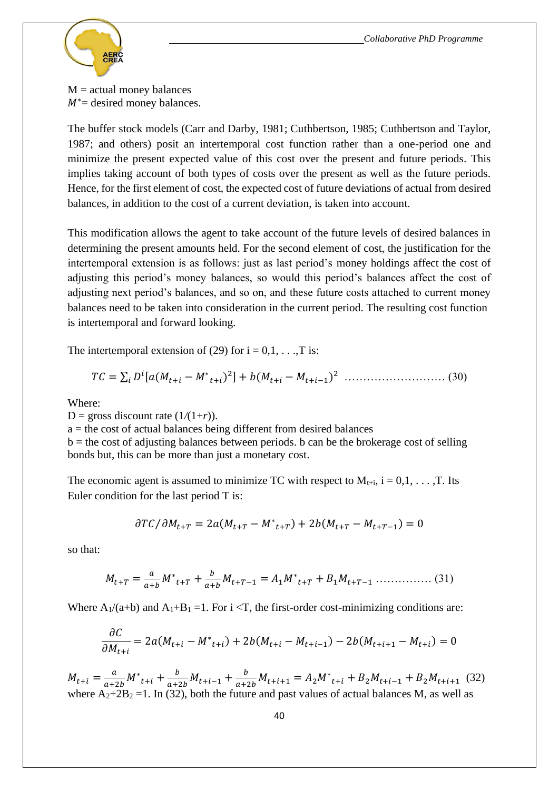

 $M =$  actual money balances  $M^*$ = desired money balances.

The buffer stock models (Carr and Darby, 1981; Cuthbertson, 1985; Cuthbertson and Taylor, 1987; and others) posit an intertemporal cost function rather than a one-period one and minimize the present expected value of this cost over the present and future periods. This implies taking account of both types of costs over the present as well as the future periods. Hence, for the first element of cost, the expected cost of future deviations of actual from desired balances, in addition to the cost of a current deviation, is taken into account.

This modification allows the agent to take account of the future levels of desired balances in determining the present amounts held. For the second element of cost, the justification for the intertemporal extension is as follows: just as last period's money holdings affect the cost of adjusting this period's money balances, so would this period's balances affect the cost of adjusting next period's balances, and so on, and these future costs attached to current money balances need to be taken into consideration in the current period. The resulting cost function is intertemporal and forward looking.

The intertemporal extension of (29) for  $i = 0, 1, \ldots, T$  is:

 = ∑ [(+ − <sup>∗</sup> + ) 2 ] + (+ − +−1 ) 2 ……………………… (30)

Where:

D = gross discount rate  $(1/(1+r))$ .

 $a =$  the cost of actual balances being different from desired balances

 $b =$  the cost of adjusting balances between periods. b can be the brokerage cost of selling bonds but, this can be more than just a monetary cost.

The economic agent is assumed to minimize TC with respect to  $M_{t+i}$ ,  $i = 0, 1, \ldots, T$ . Its Euler condition for the last period T is:

$$
\partial T C / \partial M_{t+T} = 2a(M_{t+T} - M^*_{t+T}) + 2b(M_{t+T} - M_{t+T-1}) = 0
$$

so that:

$$
M_{t+T} = \frac{a}{a+b} M^*_{t+T} + \frac{b}{a+b} M_{t+T-1} = A_1 M^*_{t+T} + B_1 M_{t+T-1} \dots \dots \dots \dots \dots \tag{31}
$$

Where  $A_1/(a+b)$  and  $A_1+B_1=1$ . For  $i < T$ , the first-order cost-minimizing conditions are:

$$
\frac{\partial C}{\partial M_{t+i}} = 2a(M_{t+i} - M^*_{t+i}) + 2b(M_{t+i} - M_{t+i-1}) - 2b(M_{t+i+1} - M_{t+i}) = 0
$$

 $M_{t+i} = \frac{a}{a+i}$  $\frac{a}{a+2b}M^*{}_{t+i} + \frac{b}{a+i}$  $\frac{b}{a+2b}M_{t+i-1} + \frac{b}{a+i}$  $\frac{b}{a+2b}M_{t+i+1} = A_2M_{t+i} + B_2M_{t+i-1} + B_2M_{t+i+1}$  (32) where  $A_2+2B_2=1$ . In (32), both the future and past values of actual balances M, as well as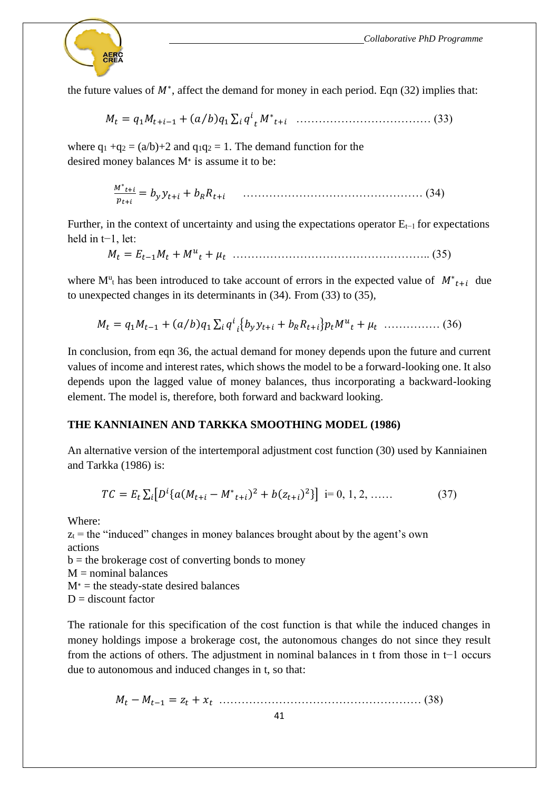

the future values of  $M^*$ , affect the demand for money in each period. Eqn (32) implies that:

 = 1+−1 + (⁄)<sup>1</sup> ∑ <sup>∗</sup> + ……………………………… (33)

where  $q_1 + q_2 = (a/b)+2$  and  $q_1q_2 = 1$ . The demand function for the desired money balances M<sup>∗</sup> is assume it to be:

$$
\frac{M^*_{t+i}}{p_{t+i}} = b_y y_{t+i} + b_R R_{t+i} \qquad \dots \qquad (34)
$$

Further, in the context of uncertainty and using the expectations operator Et−1 for expectations held in t−1, let:

= −1 + + …………………………………………….. (35)

where  $M^u$ <sub>t</sub> has been introduced to take account of errors in the expected value of  $M^*_{t+i}$  due to unexpected changes in its determinants in (34). From (33) to (35),

$$
M_t = q_1 M_{t-1} + (a/b) q_1 \sum_i q^i_{\ i} \{b_y y_{t+i} + b_R R_{t+i}\} p_t M^u_{\ t} + \mu_t \ \ldots \ldots \ldots \ldots \ldots \tag{36}
$$

In conclusion, from eqn 36, the actual demand for money depends upon the future and current values of income and interest rates, which shows the model to be a forward-looking one. It also depends upon the lagged value of money balances, thus incorporating a backward-looking element. The model is, therefore, both forward and backward looking.

## **THE KANNIAINEN AND TARKKA SMOOTHING MODEL (1986)**

An alternative version of the intertemporal adjustment cost function (30) used by Kanniainen and Tarkka (1986) is:

$$
TC = E_t \sum_i [D^i \{a(M_{t+i} - M^*_{t+i})^2 + b(z_{t+i})^2\}] = 0, 1, 2, .......
$$
 (37)

Where:

 $z_t$  = the "induced" changes in money balances brought about by the agent's own actions  $b =$  the brokerage cost of converting bonds to money  $M =$  nominal balances M<sup>∗</sup> = the steady-state desired balances  $D =$  discount factor

The rationale for this specification of the cost function is that while the induced changes in money holdings impose a brokerage cost, the autonomous changes do not since they result from the actions of others. The adjustment in nominal balances in t from those in t−1 occurs due to autonomous and induced changes in t, so that:

− −1 = + ……………………………………………… (38)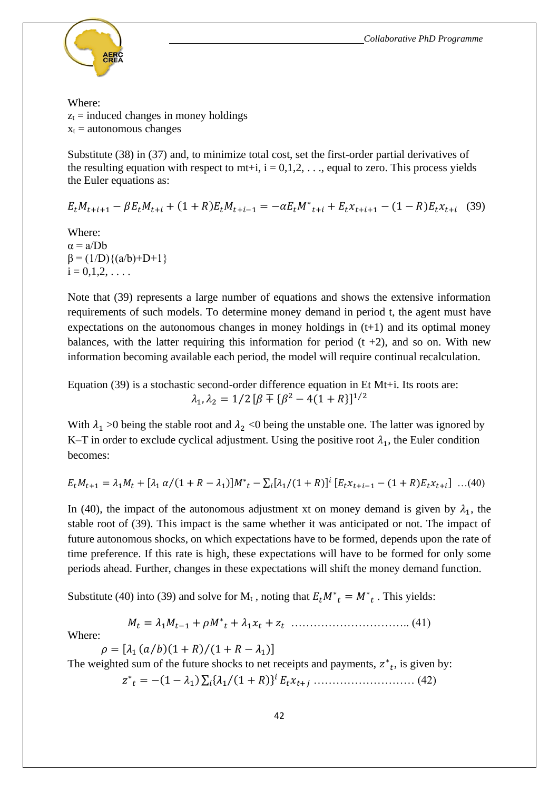

Where:  $z_t$  = induced changes in money holdings  $x_t$  = autonomous changes

Substitute (38) in (37) and, to minimize total cost, set the first-order partial derivatives of the resulting equation with respect to mt+i,  $i = 0,1,2, \ldots$ , equal to zero. This process yields the Euler equations as:

$$
E_t M_{t+i+1} - \beta E_t M_{t+i} + (1+R) E_t M_{t+i-1} = -\alpha E_t M^*_{t+i} + E_t x_{t+i+1} - (1-R) E_t x_{t+i} \tag{39}
$$

Where:  $\alpha = a/Db$  $\beta = (1/D)\{(a/b)+D+1\}$  $i = 0, 1, 2, \ldots$ 

Note that (39) represents a large number of equations and shows the extensive information requirements of such models. To determine money demand in period t, the agent must have expectations on the autonomous changes in money holdings in  $(t+1)$  and its optimal money balances, with the latter requiring this information for period  $(t + 2)$ , and so on. With new information becoming available each period, the model will require continual recalculation.

Equation (39) is a stochastic second-order difference equation in Et Mt+i. Its roots are:  $\lambda_1, \lambda_2 = 1/2 [\beta \mp {\beta^2 - 4(1+R)}]^{1/2}$ 

With  $\lambda_1 > 0$  being the stable root and  $\lambda_2 < 0$  being the unstable one. The latter was ignored by K–T in order to exclude cyclical adjustment. Using the positive root  $\lambda_1$ , the Euler condition becomes:

$$
E_t M_{t+1} = \lambda_1 M_t + [\lambda_1 \alpha/(1 + R - \lambda_1)]M^*_{t} - \sum_i [\lambda_1/(1 + R)]^i [E_t x_{t+i-1} - (1 + R) E_t x_{t+i}] \dots (40)
$$

In (40), the impact of the autonomous adjustment xt on money demand is given by  $\lambda_1$ , the stable root of (39). This impact is the same whether it was anticipated or not. The impact of future autonomous shocks, on which expectations have to be formed, depends upon the rate of time preference. If this rate is high, these expectations will have to be formed for only some periods ahead. Further, changes in these expectations will shift the money demand function.

Substitute (40) into (39) and solve for  $M_t$ , noting that  $E_t M^*$ <sub>t</sub> =  $M^*$ <sub>t</sub>. This yields:

 = 1−1 + <sup>∗</sup> + 1 + ………………………….. (41)

Where:

 $\rho = [\lambda_1 (a/b)(1+R)/(1+R-\lambda_1)]$ The weighted sum of the future shocks to net receipts and payments,  $z^*$ <sub>t</sub>, is given by:

∗ = −(1 − <sup>1</sup> ) ∑ {1⁄(1 + )} + ……………………… (42)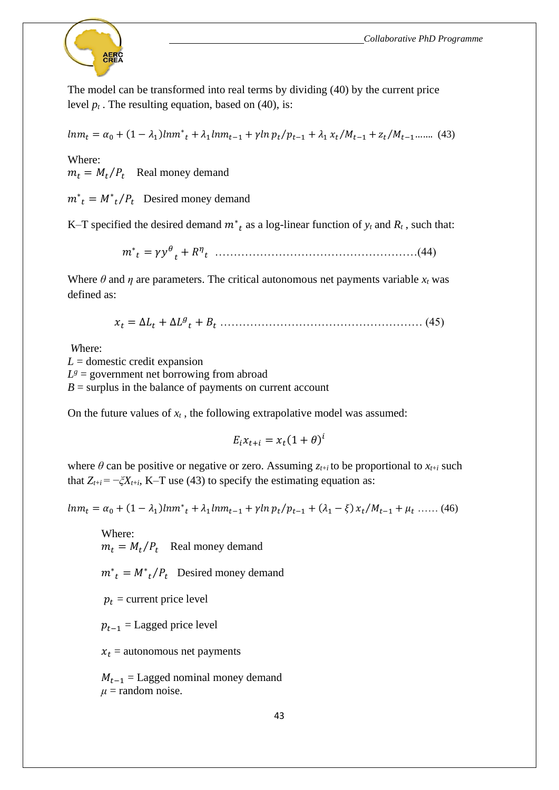*Collaborative PhD Programme*



The model can be transformed into real terms by dividing (40) by the current price level  $p_t$ . The resulting equation, based on (40), is:

$$
ln m_t = \alpha_0 + (1 - \lambda_1) ln m_t + \lambda_1 l n m_{t-1} + \gamma ln p_t / p_{t-1} + \lambda_1 x_t / M_{t-1} + z_t / M_{t-1} \dots \dots \tag{43}
$$

Where:

 $m_t = M_t/P_t$  Real money demand

 $m^*$ <sub>t</sub> =  $M^*$ <sub>t</sub> $/P$ <sub>t</sub> Desired money demand

K–T specified the desired demand  $m^*$ <sub>t</sub> as a log-linear function of  $y_t$  and  $R_t$ , such that:

 $m^*$ <sub>t</sub> =  $\gamma y^{\theta}$ + ………………………………………………(44)

Where  $\theta$  and  $\eta$  are parameters. The critical autonomous net payments variable  $x_t$  was defined as:

= Δ + Δ + ……………………………………………… (45)

*W*here:

 $L =$  domestic credit expansion  $L^g$  = government net borrowing from abroad  $B =$  surplus in the balance of payments on current account

On the future values of *x<sup>t</sup>* , the following extrapolative model was assumed:

 $E_i x_{t+i} = x_t (1+\theta)^i$ 

where  $\theta$  can be positive or negative or zero. Assuming  $z_{t+i}$  to be proportional to  $x_{t+i}$  such that  $Z_{t+i} = -\zeta X_{t+i}$ , K–T use (43) to specify the estimating equation as:

 $ln m_t = \alpha_0 + (1 - \lambda_1) ln m^*$  +  $\lambda_1 ln m_{t-1} + \gamma ln p_t / p_{t-1} + (\lambda_1 - \xi) x_t / M_{t-1} + \mu_t$  ...... (46)

Where:  $m_t = M_t / P_t$  Real money demand

 $m^*$ <sub>t</sub> =  $M^*$ <sub>t</sub>/ $P$ <sub>t</sub> Desired money demand

 $p_t$  = current price level

 $p_{t-1}$  = Lagged price level

 $x_t$  = autonomous net payments

 $M_{t-1}$  = Lagged nominal money demand  $\mu$  = random noise.